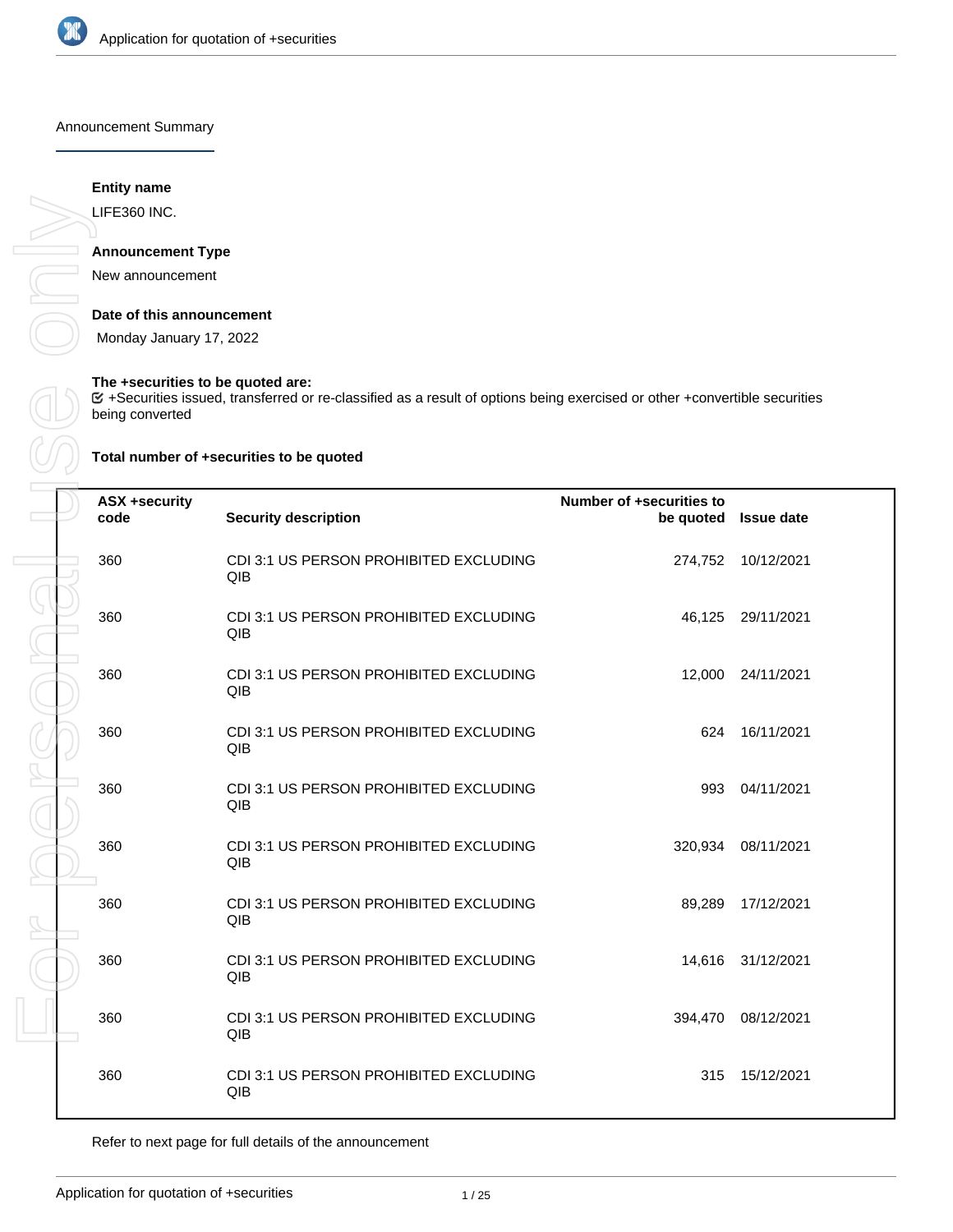

Announcement Summary

## **Entity name**

LIFE360 INC.

# **Announcement Type**

New announcement

# **Date of this announcement**

Monday January 17, 2022

#### **The +securities to be quoted are:**

+Securities issued, transferred or re-classified as a result of options being exercised or other +convertible securities

| <b>ASX +security</b> |                                               | Number of +securities to |                    |
|----------------------|-----------------------------------------------|--------------------------|--------------------|
| code                 | <b>Security description</b>                   | be quoted                | <b>Issue date</b>  |
| 360                  | CDI 3:1 US PERSON PROHIBITED EXCLUDING<br>QIB |                          | 274,752 10/12/2021 |
| 360                  | CDI 3:1 US PERSON PROHIBITED EXCLUDING<br>QIB |                          | 46,125 29/11/2021  |
| 360                  | CDI 3:1 US PERSON PROHIBITED EXCLUDING<br>QIB |                          | 12,000 24/11/2021  |
| 360                  | CDI 3:1 US PERSON PROHIBITED EXCLUDING<br>QIB |                          | 624 16/11/2021     |
| 360                  | CDI 3:1 US PERSON PROHIBITED EXCLUDING<br>QIB |                          | 993 04/11/2021     |
| 360                  | CDI 3:1 US PERSON PROHIBITED EXCLUDING<br>QIB |                          | 320,934 08/11/2021 |
| 360                  | CDI 3:1 US PERSON PROHIBITED EXCLUDING<br>QIB | 89,289                   | 17/12/2021         |
| 360                  | CDI 3:1 US PERSON PROHIBITED EXCLUDING<br>QIB |                          | 14,616 31/12/2021  |
| 360                  | CDI 3:1 US PERSON PROHIBITED EXCLUDING<br>QIB | 394,470                  | 08/12/2021         |
| 360                  | CDI 3:1 US PERSON PROHIBITED EXCLUDING<br>QIB |                          | 315 15/12/2021     |

Refer to next page for full details of the announcement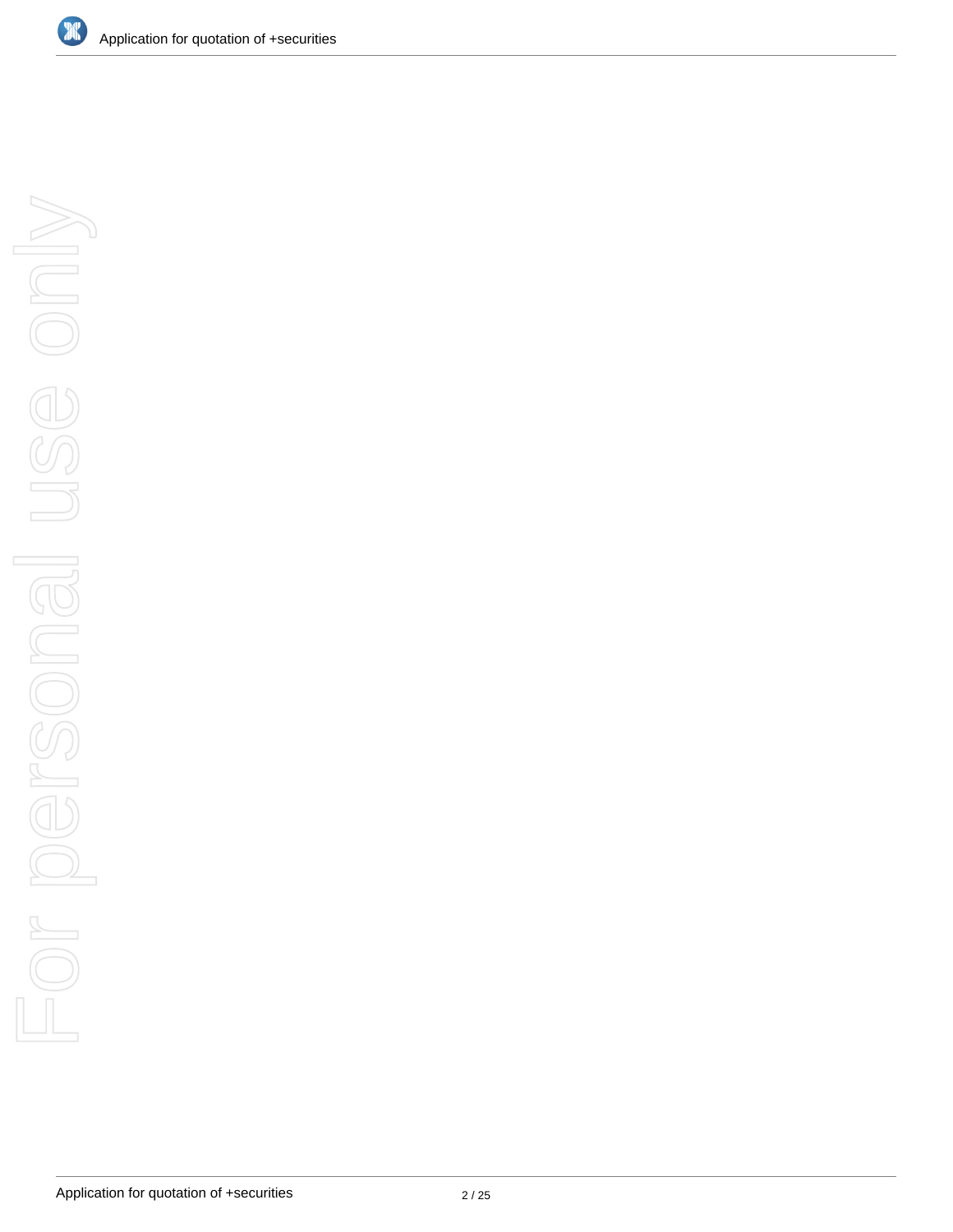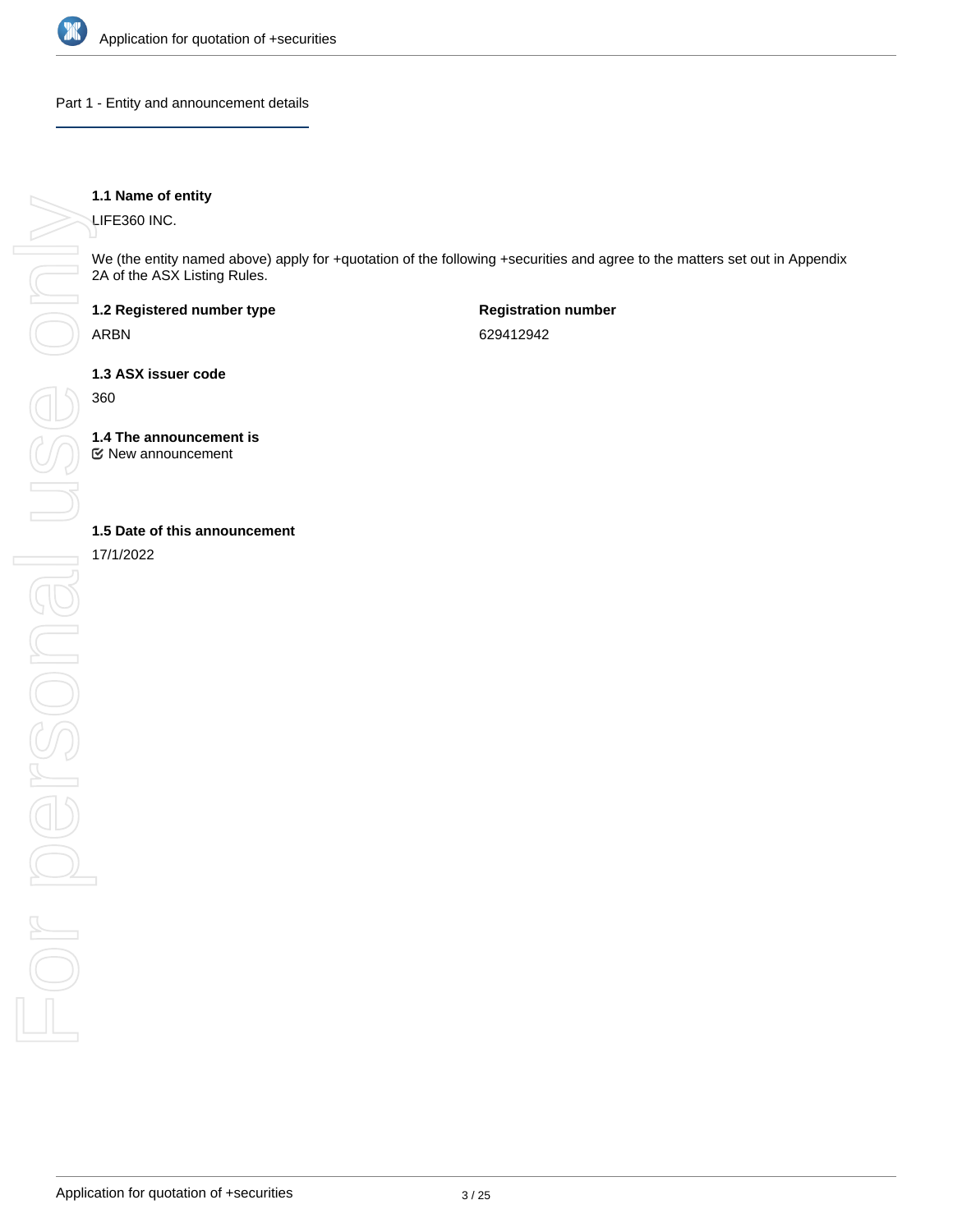

Part 1 - Entity and announcement details

# **1.1 Name of entity**

LIFE360 INC.

We (the entity named above) apply for +quotation of the following +securities and agree to the matters set out in Appendix 2A of the ASX Listing Rules.

**1.2 Registered number type**

ARBN

**Registration number** 629412942

**1.3 ASX issuer code**

360

**1.4 The announcement is**

New announcement

17/1/2022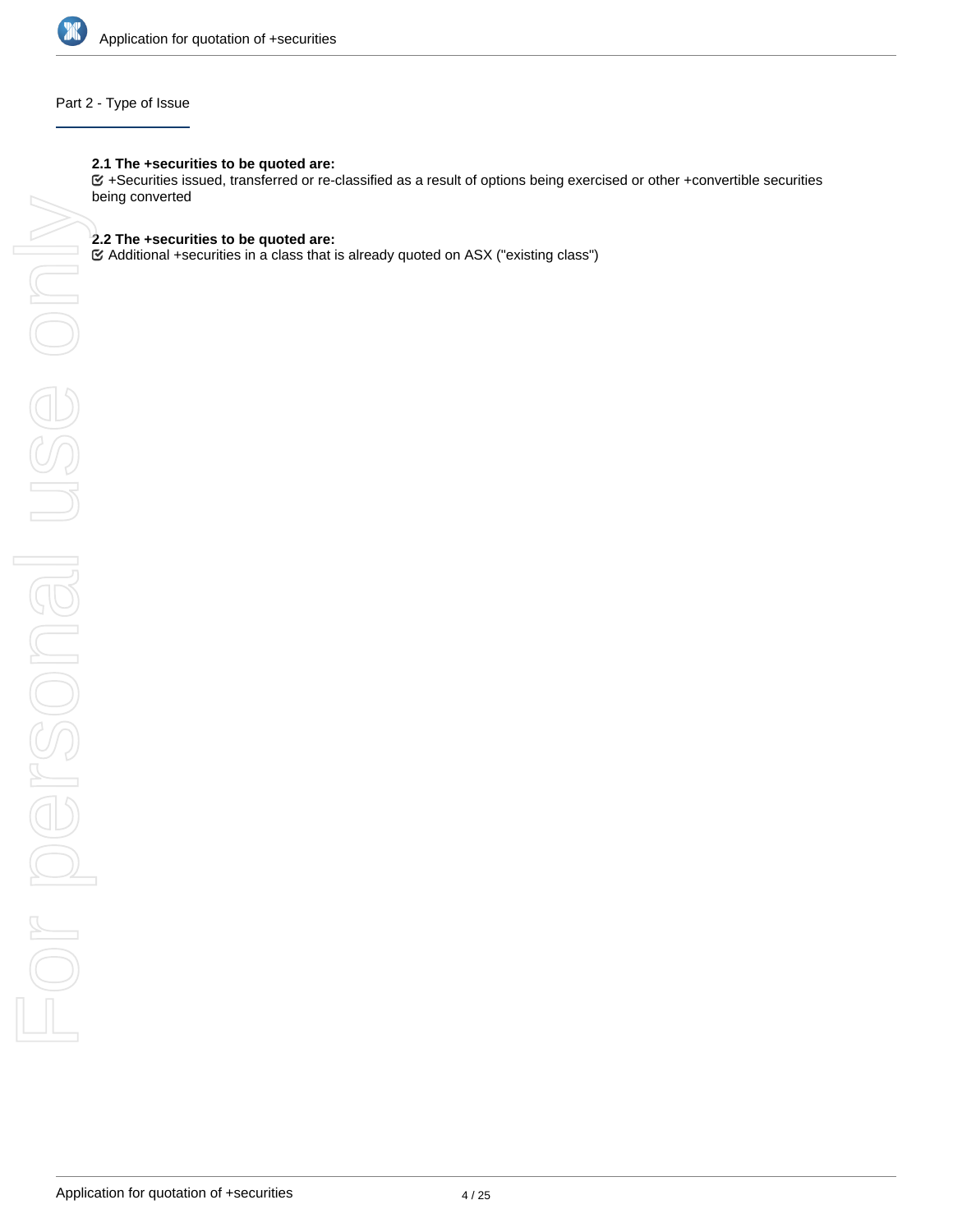

# Part 2 - Type of Issue

# **2.1 The +securities to be quoted are:**

+Securities issued, transferred or re-classified as a result of options being exercised or other +convertible securities

# **2.2 The +securities to be quoted are:**

Additional +securities in a class that is already quoted on ASX ("existing class")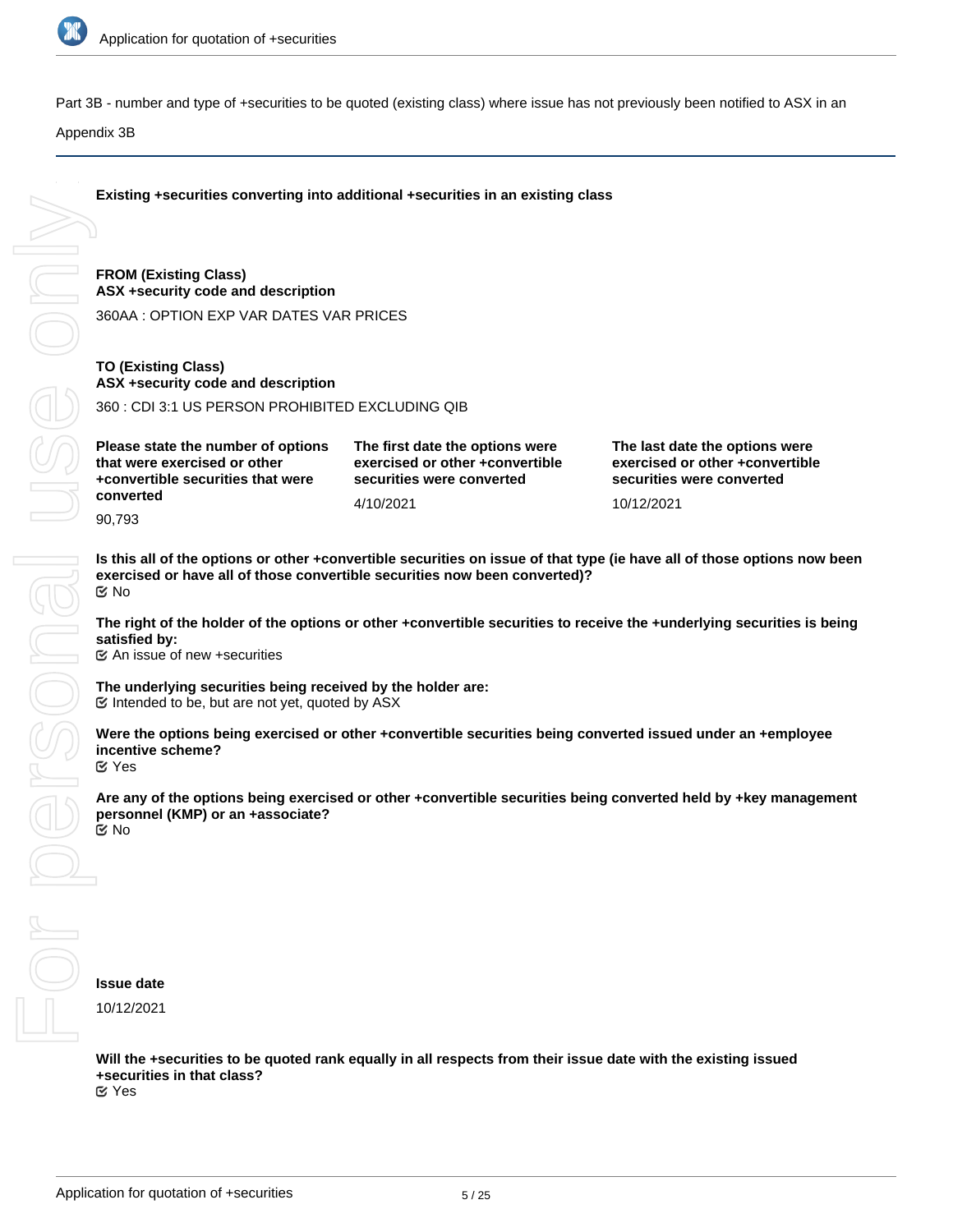

Part 3B - number and type of +securities to be quoted (existing class) where issue has not previously been notified to ASX in an

# Appendix 3B

**Existing +securities converting into additional +securities in an existing class**

# **FROM (Existing Class) ASX +security code and description**

360AA : OPTION EXP VAR DATES VAR PRICES

# **TO (Existing Class) ASX +security code and description**

360 : CDI 3:1 US PERSON PROHIBITED EXCLUDING QIB

| Please state the number of options<br>that were exercised or other<br>+convertible securities that were | The first date the options were<br>exercised or other +convertible<br>securities were converted | The last date the options were<br>exercised or other +convertible<br>securities were converted |
|---------------------------------------------------------------------------------------------------------|-------------------------------------------------------------------------------------------------|------------------------------------------------------------------------------------------------|
| converted                                                                                               | 4/10/2021                                                                                       | 10/12/2021                                                                                     |
| 00.702                                                                                                  |                                                                                                 |                                                                                                |

90,793

**Is this all of the options or other +convertible securities on issue of that type (ie have all of those options now been exercised or have all of those convertible securities now been converted)?** No

**The right of the holder of the options or other +convertible securities to receive the +underlying securities is being satisfied by:**

 $\mathfrak{C}$  An issue of new +securities

**The underlying securities being received by the holder are:**  $\mathfrak S$  Intended to be, but are not yet, quoted by ASX

**Were the options being exercised or other +convertible securities being converted issued under an +employee incentive scheme?** Yes

**Are any of the options being exercised or other +convertible securities being converted held by +key management personnel (KMP) or an +associate?** No

# **Issue date**

10/12/2021

**Will the +securities to be quoted rank equally in all respects from their issue date with the existing issued +securities in that class?** Yes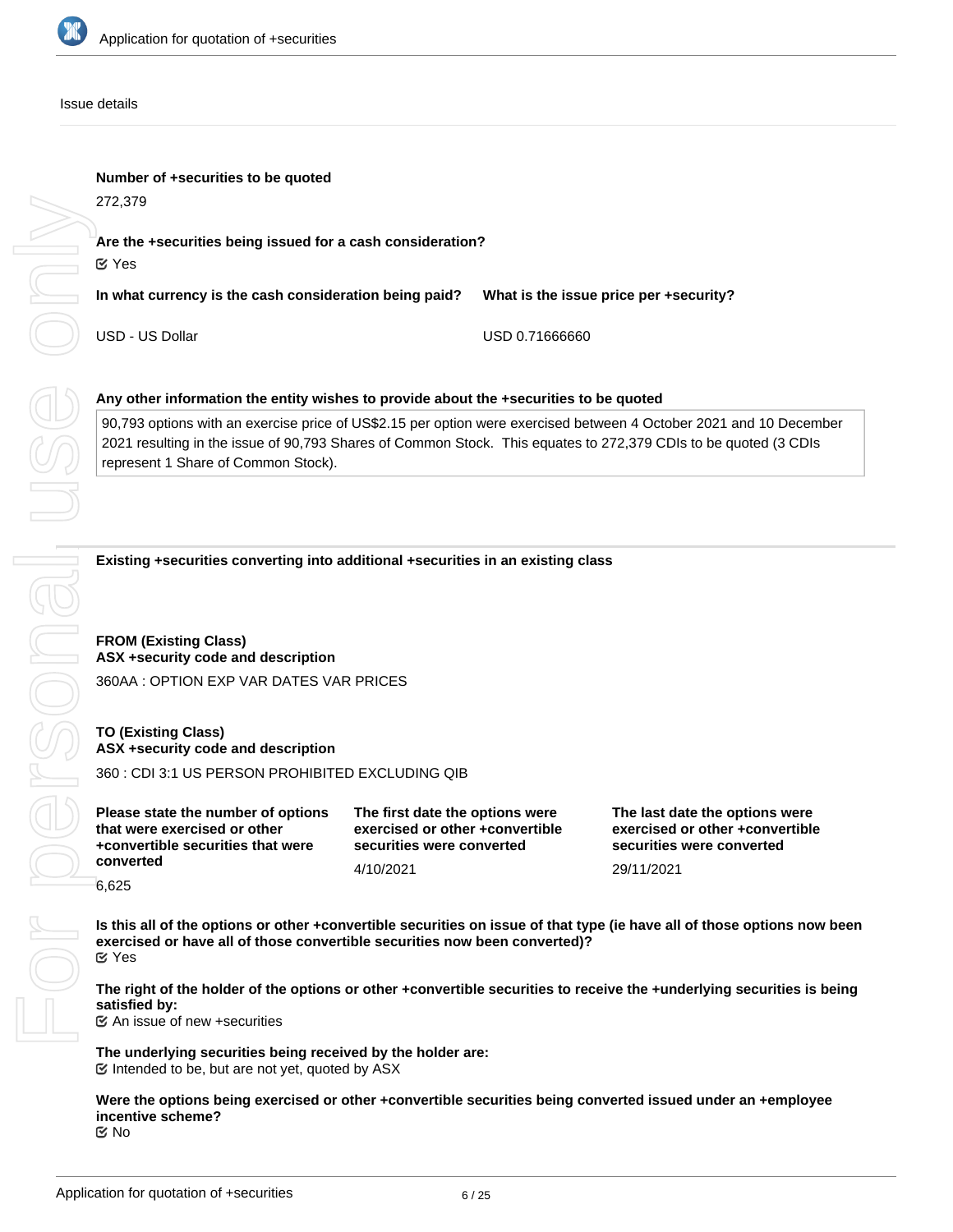

# **Number of +securities to be quoted**

272,379

**Are the +securities being issued for a cash consideration?** Yes

**In what currency is the cash consideration being paid? What is the issue price per +security?**

USD - US Dollar

USD 0.71666660

# **Any other information the entity wishes to provide about the +securities to be quoted**

90,793 options with an exercise price of US\$2.15 per option were exercised between 4 October 2021 and 10 December 2021 resulting in the issue of 90,793 Shares of Common Stock. This equates to 272,379 CDIs to be quoted (3 CDIs represent 1 Share of Common Stock).

# **Existing +securities converting into additional +securities in an existing class**

**FROM (Existing Class) ASX +security code and description** 360AA : OPTION EXP VAR DATES VAR PRICES

**TO (Existing Class) ASX +security code and description**

360 : CDI 3:1 US PERSON PROHIBITED EXCLUDING QIB

| Please state the number of options<br>that were exercised or other<br>+convertible securities that were<br>converted | The first date the options were<br>exercised or other +convertible<br>securities were converted<br>4/10/2021 |
|----------------------------------------------------------------------------------------------------------------------|--------------------------------------------------------------------------------------------------------------|
|                                                                                                                      |                                                                                                              |
| 6.625                                                                                                                |                                                                                                              |

**The last date the options were exercised or other +convertible securities were converted**

29/11/2021

**Is this all of the options or other +convertible securities on issue of that type (ie have all of those options now been exercised or have all of those convertible securities now been converted)?** Yes

**The right of the holder of the options or other +convertible securities to receive the +underlying securities is being satisfied by:**

An issue of new +securities

**The underlying securities being received by the holder are:**  $\mathfrak C$  Intended to be, but are not yet, quoted by ASX

**Were the options being exercised or other +convertible securities being converted issued under an +employee incentive scheme?** No

For personal, use only  $\sum_{i=1}^n$ ISONAL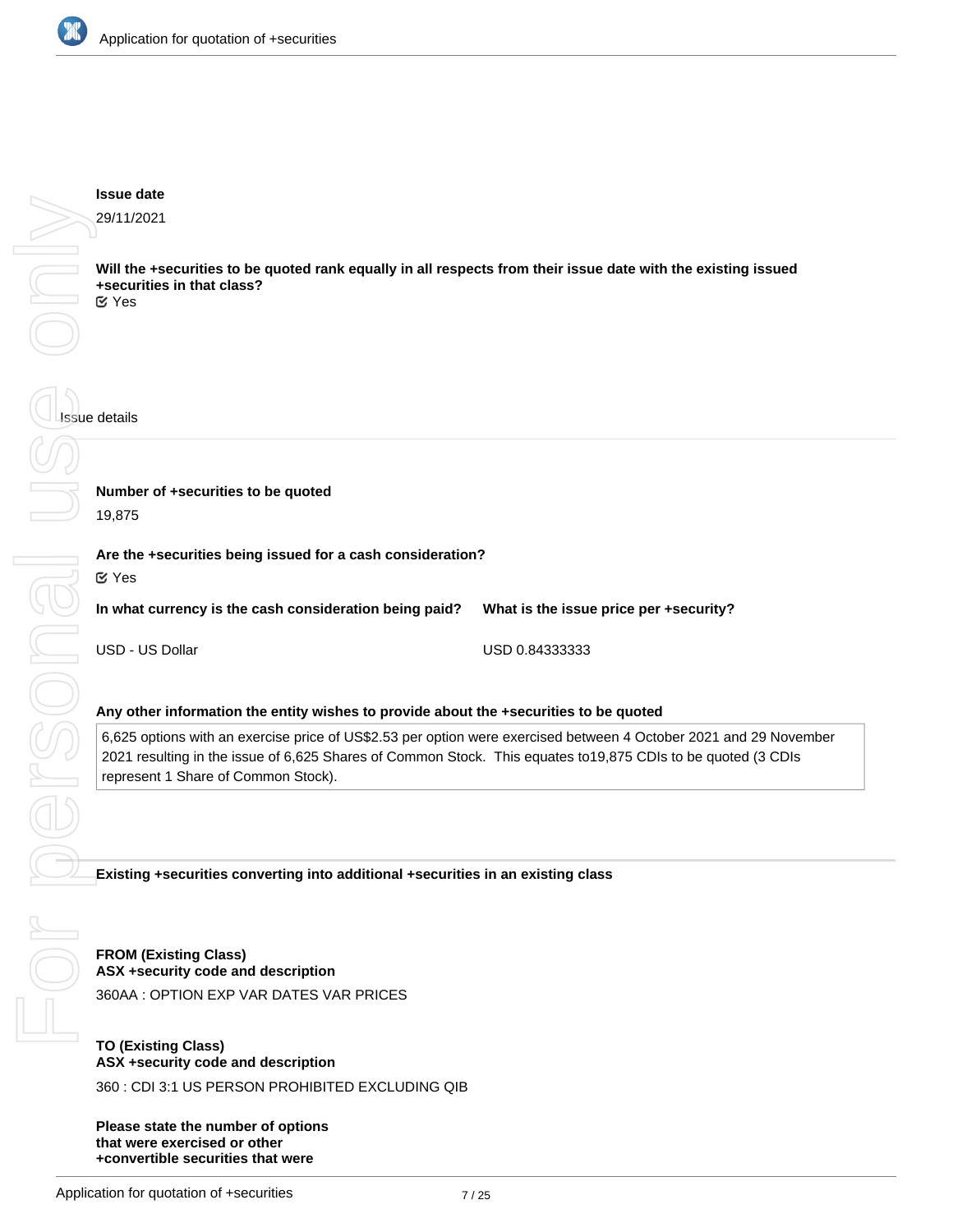

## **Issue date**

29/11/2021

**Will the +securities to be quoted rank equally in all respects from their issue date with the existing issued +securities in that class?** Yes

**Issue details** For personal use only

**Number of +securities to be quoted** 19,875

**Are the +securities being issued for a cash consideration?**

Yes

personal

**In what currency is the cash consideration being paid? What is the issue price per +security?**

USD - US Dollar

USD 0.84333333

# **Any other information the entity wishes to provide about the +securities to be quoted**

6,625 options with an exercise price of US\$2.53 per option were exercised between 4 October 2021 and 29 November 2021 resulting in the issue of 6,625 Shares of Common Stock. This equates to19,875 CDIs to be quoted (3 CDIs represent 1 Share of Common Stock).

**Existing +securities converting into additional +securities in an existing class**

**FROM (Existing Class) ASX +security code and description** 360AA : OPTION EXP VAR DATES VAR PRICES

**TO (Existing Class) ASX +security code and description**

360 : CDI 3:1 US PERSON PROHIBITED EXCLUDING QIB

**Please state the number of options that were exercised or other +convertible securities that were**

<u>converted to the second</u>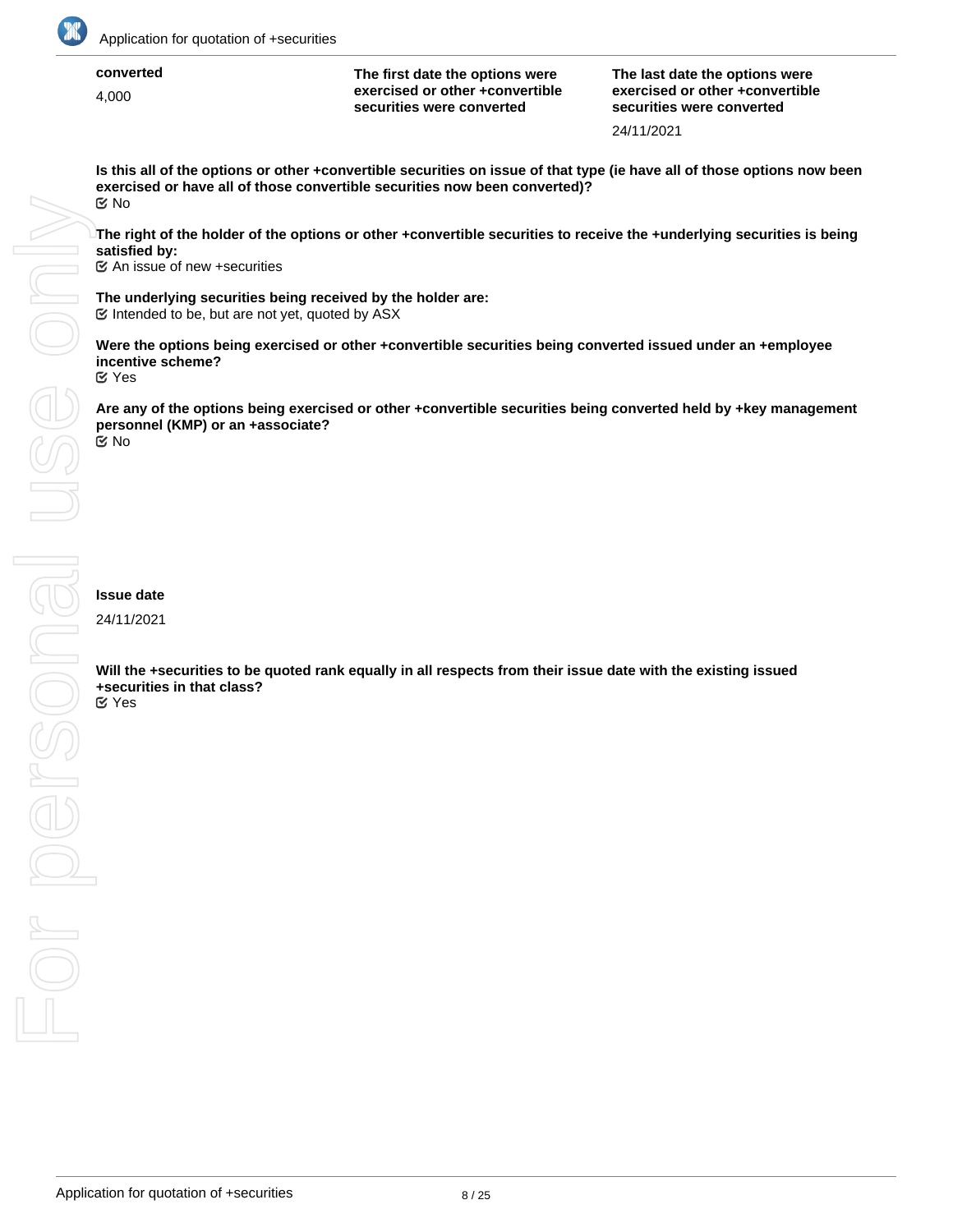

## **converted**

4,000

**The first date the options were exercised or other +convertible securities were converted**

**The last date the options were exercised or other +convertible securities were converted**

24/11/2021

**Is this all of the options or other +convertible securities on issue of that type (ie have all of those options now been exercised or have all of those convertible securities now been converted)?** No

**The right of the holder of the options or other +convertible securities to receive the +underlying securities is being satisfied by:**

An issue of new +securities

**The underlying securities being received by the holder are:**  $\mathfrak C$  Intended to be, but are not yet, quoted by ASX

**Were the options being exercised or other +convertible securities being converted issued under an +employee incentive scheme?** Yes

**Are any of the options being exercised or other +convertible securities being converted held by +key management personnel (KMP) or an +associate?**

No

# **Issue date**

24/11/2021

**Will the +securities to be quoted rank equally in all respects from their issue date with the existing issued +securities in that class?** Yes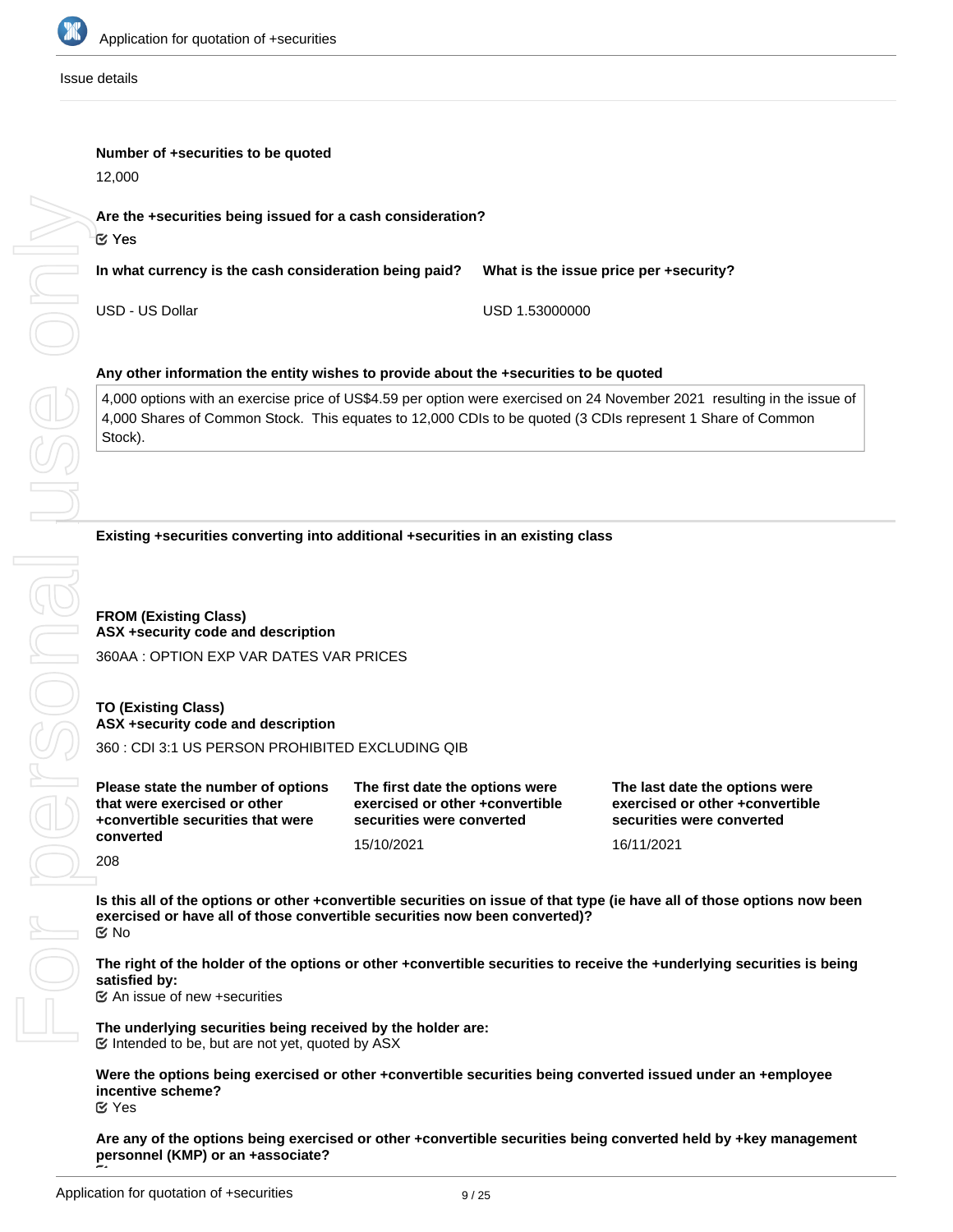

# **Number of +securities to be quoted**

12,000

**Are the +securities being issued for a cash consideration?**

| In what currency is the cash consideration being paid? | What is the issue price per +security? |
|--------------------------------------------------------|----------------------------------------|
|                                                        |                                        |

**Any other information the entity wishes to provide about the +securities to be quoted**

4,000 options with an exercise price of US\$4.59 per option were exercised on 24 November 2021 resulting in the issue of 4,000 Shares of Common Stock. This equates to 12,000 CDIs to be quoted (3 CDIs represent 1 Share of Common Stock).

USD 1.53000000

# **Existing +securities converting into additional +securities in an existing class**

**FROM (Existing Class) ASX +security code and description** 360AA : OPTION EXP VAR DATES VAR PRICES

**TO (Existing Class) ASX +security code and description** 360 : CDI 3:1 US PERSON PROHIBITED EXCLUDING QIB

| Please state the number of options<br>that were exercised or other<br>+convertible securities that were<br>converted |
|----------------------------------------------------------------------------------------------------------------------|
| 208                                                                                                                  |

**The first date the options were exercised or other +convertible securities were converted**

15/10/2021

**The last date the options were exercised or other +convertible securities were converted**

16/11/2021

**Is this all of the options or other +convertible securities on issue of that type (ie have all of those options now been exercised or have all of those convertible securities now been converted)?** No

**The right of the holder of the options or other +convertible securities to receive the +underlying securities is being satisfied by:**

An issue of new +securities

**The underlying securities being received by the holder are:**  $G$  Intended to be, but are not yet, quoted by ASX

**Were the options being exercised or other +convertible securities being converted issued under an +employee incentive scheme?** Yes

**Are any of the options being exercised or other +convertible securities being converted held by +key management personnel (KMP) or an +associate?**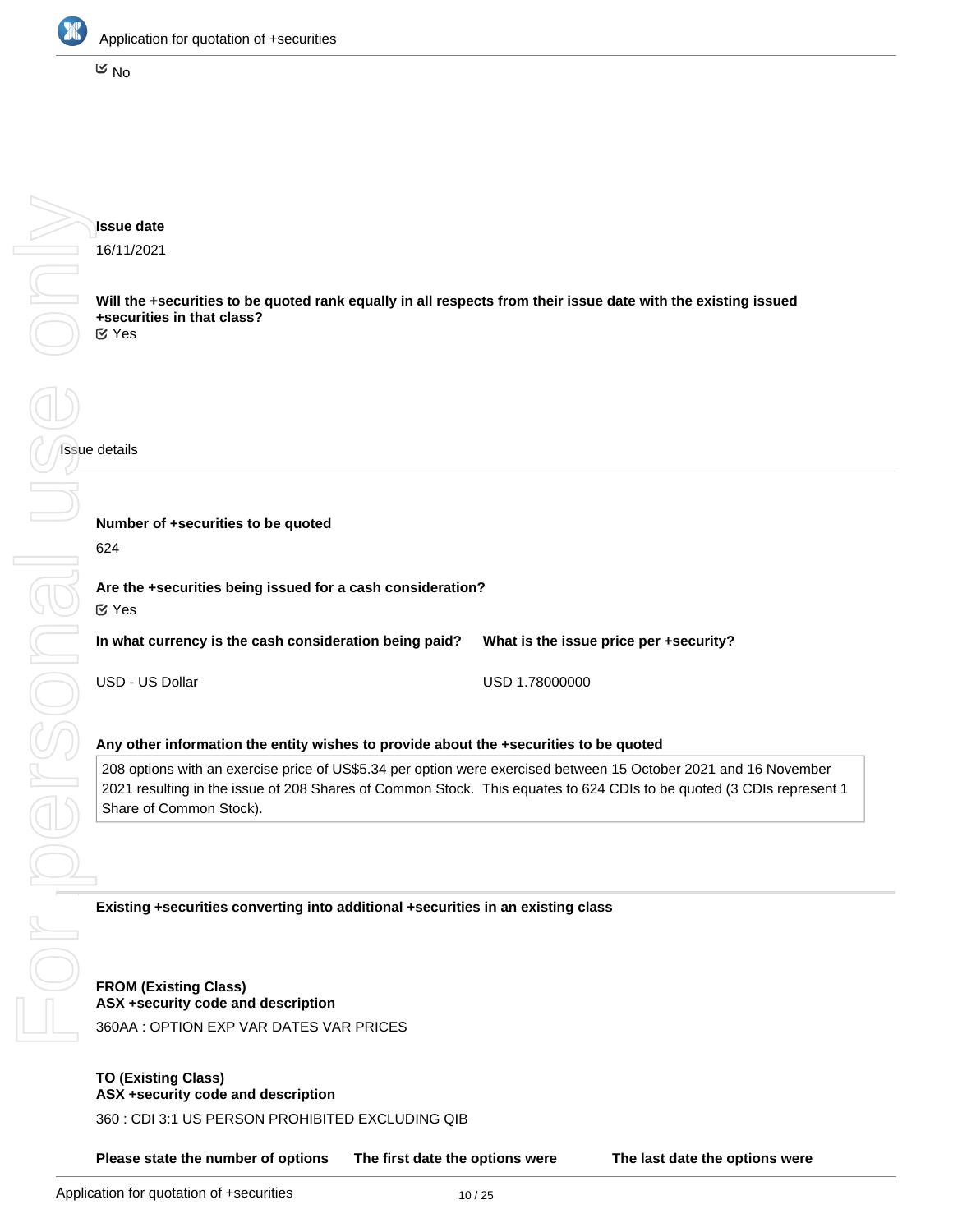

# No

# **Issue date**

16/11/2021

**Will the +securities to be quoted rank equally in all respects from their issue date with the existing issued +securities in that class?** Yes

Issue details

# **Number of +securities to be quoted**

624

**Are the +securities being issued for a cash consideration?** Yes

**In what currency is the cash consideration being paid?**

**What is the issue price per +security?**

USD - US Dollar

USD 1.78000000

# **Any other information the entity wishes to provide about the +securities to be quoted**

208 options with an exercise price of US\$5.34 per option were exercised between 15 October 2021 and 16 November 2021 resulting in the issue of 208 Shares of Common Stock. This equates to 624 CDIs to be quoted (3 CDIs represent 1 Share of Common Stock).

# **Existing +securities converting into additional +securities in an existing class**

**FROM (Existing Class) ASX +security code and description** 360AA : OPTION EXP VAR DATES VAR PRICES

# **TO (Existing Class) ASX +security code and description**

360 : CDI 3:1 US PERSON PROHIBITED EXCLUDING QIB

**Please state the number of options The first date the options were** **The last date the options were** exercised or other +convertible +convertible +convertible +convertible<br>The transformation +convertible

**that were exercised or other**

exercised or other +convertible +convertible +convertible +convertible<br>The transformation +convertible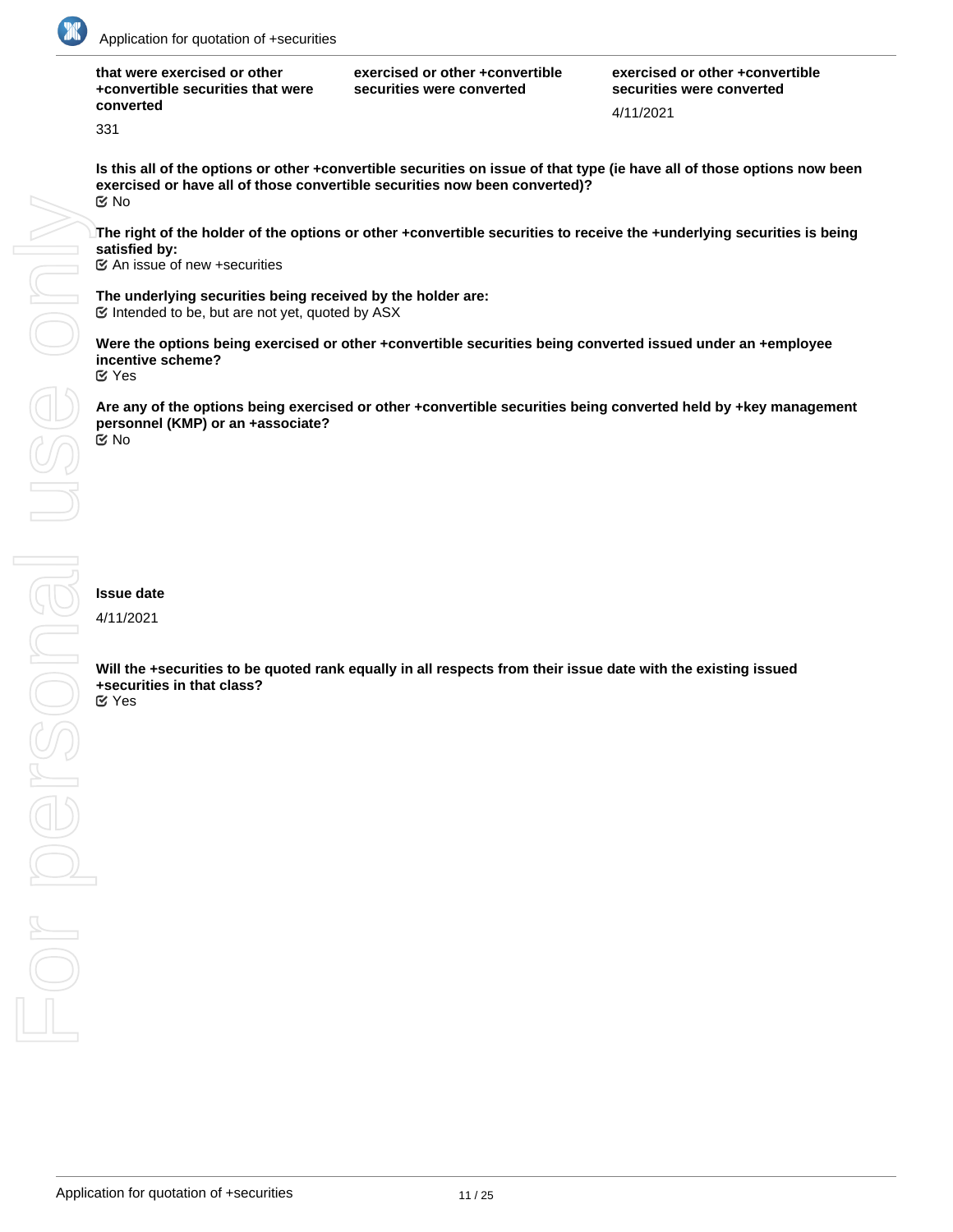

**that were exercised or other +convertible securities that were converted**

**exercised or other +convertible securities were converted**

**exercised or other +convertible securities were converted**

4/11/2021

331

**Is this all of the options or other +convertible securities on issue of that type (ie have all of those options now been exercised or have all of those convertible securities now been converted)?** No

**The right of the holder of the options or other +convertible securities to receive the +underlying securities is being satisfied by:**

An issue of new +securities

**The underlying securities being received by the holder are:**  $\mathfrak C$  Intended to be, but are not yet, quoted by ASX

**Were the options being exercised or other +convertible securities being converted issued under an +employee incentive scheme?** Yes

**Are any of the options being exercised or other +convertible securities being converted held by +key management personnel (KMP) or an +associate?** No

# **Issue date**

4/11/2021

**Will the +securities to be quoted rank equally in all respects from their issue date with the existing issued +securities in that class?** Yes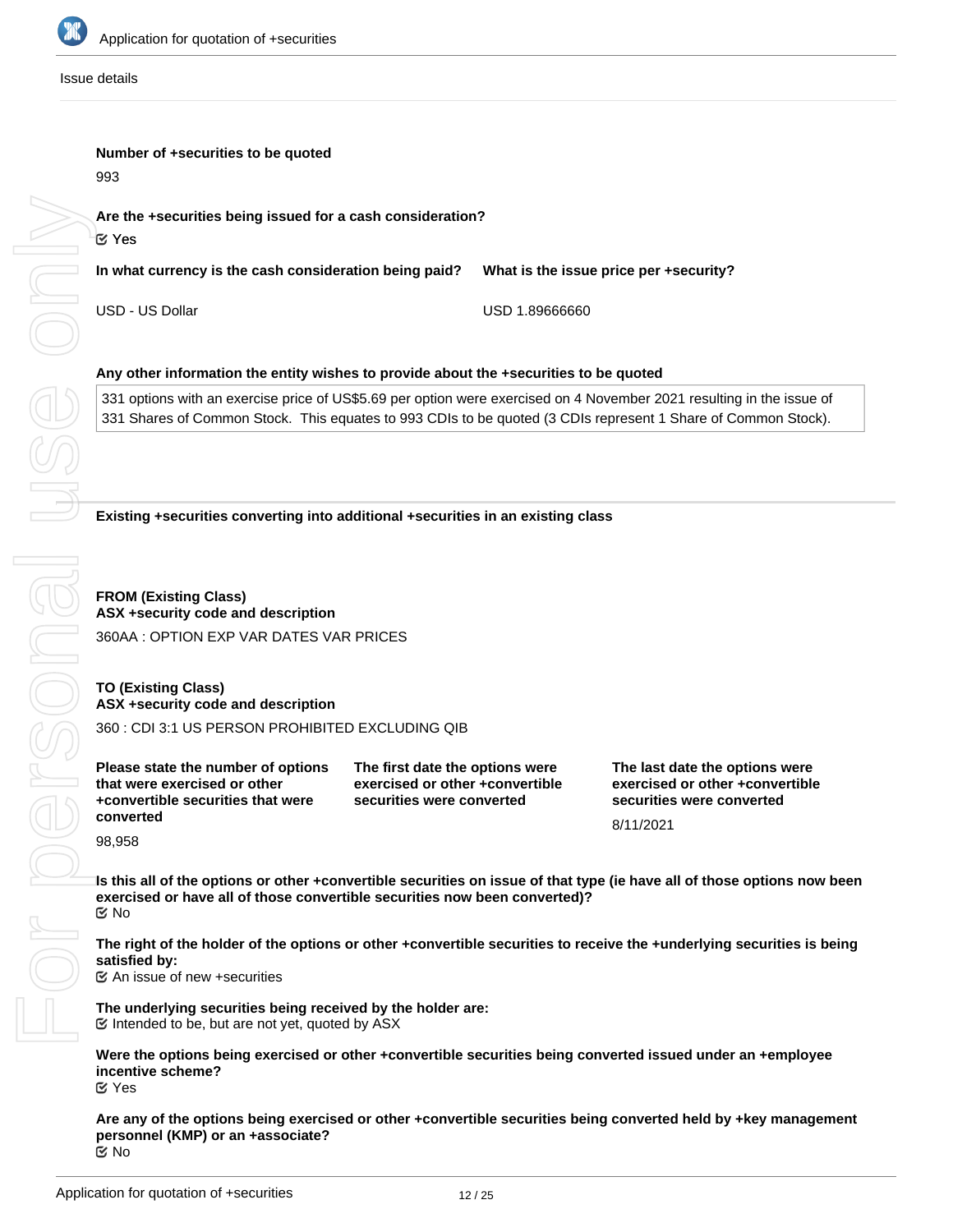

| Number of +securities to be quoted<br>993                                             |                                        |
|---------------------------------------------------------------------------------------|----------------------------------------|
| Are the +securities being issued for a cash consideration?<br>$\mathfrak{C}$ Yes      |                                        |
| In what currency is the cash consideration being paid?                                | What is the issue price per +security? |
| USD - US Dollar                                                                       | USD 1.89666660                         |
| Any other information the entity wishes to provide about the +securities to be quoted |                                        |

331 options with an exercise price of US\$5.69 per option were exercised on 4 November 2021 resulting in the issue of 331 Shares of Common Stock. This equates to 993 CDIs to be quoted (3 CDIs represent 1 Share of Common Stock).

**Existing +securities converting into additional +securities in an existing class**

# **FROM (Existing Class) ASX +security code and description** 360AA : OPTION EXP VAR DATES VAR PRICES

# **TO (Existing Class) ASX +security code and description**

360 : CDI 3:1 US PERSON PROHIBITED EXCLUDING QIB

**Please state the number of options that were exercised or other +convertible securities that were converted**

**The first date the options were exercised or other +convertible securities were converted**

**The last date the options were exercised or other +convertible securities were converted** 8/11/2021

98,958

**Is this all of the options or other +convertible securities on issue of that type (ie have all of those options now been exercised or have all of those convertible securities now been converted)?** No

**The right of the holder of the options or other +convertible securities to receive the +underlying securities is being satisfied by:**

 $\mathfrak{C}$  An issue of new +securities

**The underlying securities being received by the holder are:**  $\mathfrak C$  Intended to be, but are not yet, quoted by ASX

**Were the options being exercised or other +convertible securities being converted issued under an +employee incentive scheme?** Yes

**Are any of the options being exercised or other +convertible securities being converted held by +key management personnel (KMP) or an +associate?** No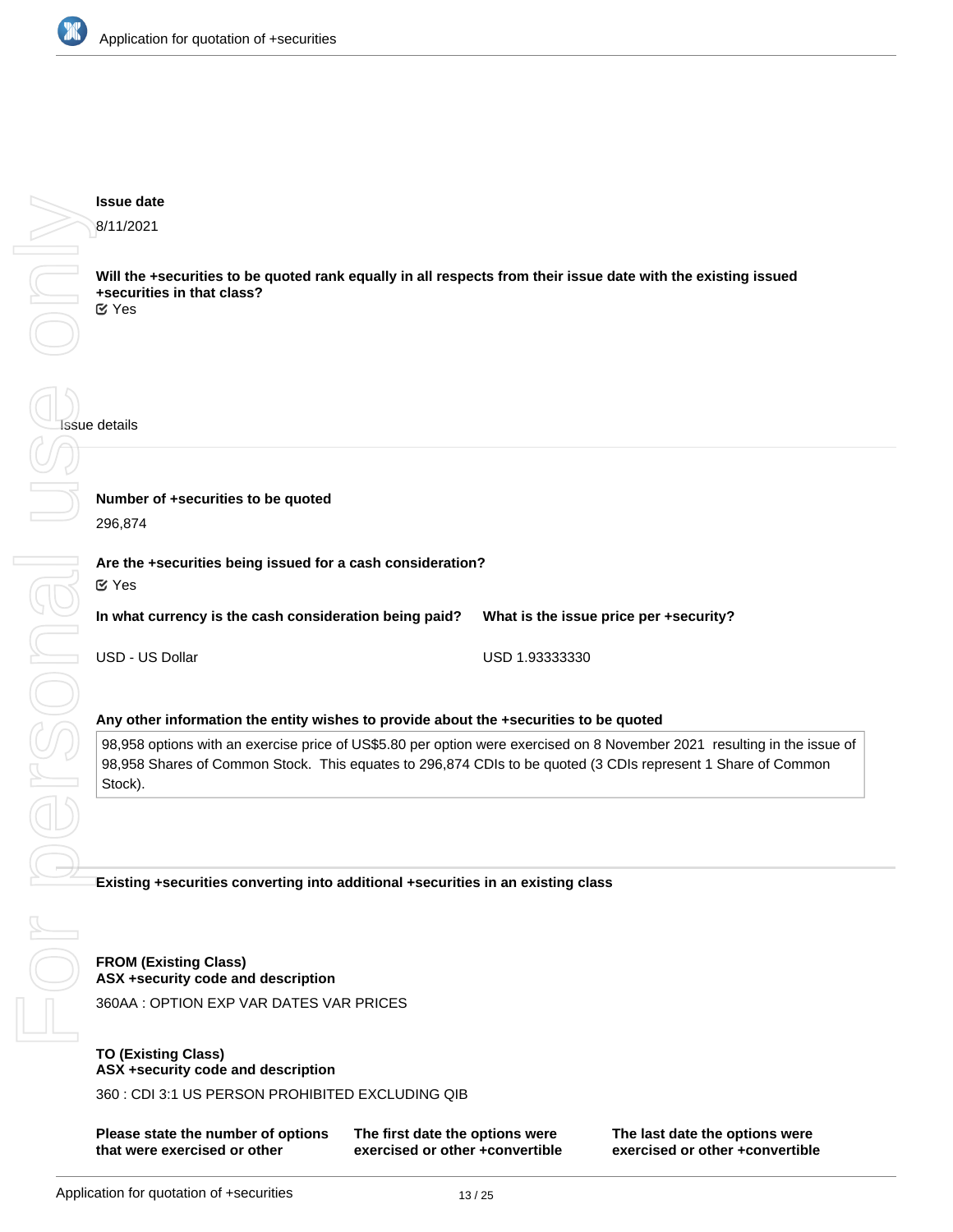

# **Issue date**

8/11/2021

**Will the +securities to be quoted rank equally in all respects from their issue date with the existing issued +securities in that class?** Yes

# **Number of +securities to be quoted**

296,874

# **Are the +securities being issued for a cash consideration?** Yes

**In what currency is the cash consideration being paid?**

**What is the issue price per +security?**

USD - US Dollar

USD 1.93333330

# **Any other information the entity wishes to provide about the +securities to be quoted**

98,958 options with an exercise price of US\$5.80 per option were exercised on 8 November 2021 resulting in the issue of 98,958 Shares of Common Stock. This equates to 296,874 CDIs to be quoted (3 CDIs represent 1 Share of Common Stock).

**Existing +securities converting into additional +securities in an existing class**

**FROM (Existing Class) ASX +security code and description**

360AA : OPTION EXP VAR DATES VAR PRICES

# **TO (Existing Class) ASX +security code and description**

360 : CDI 3:1 US PERSON PROHIBITED EXCLUDING QIB

**Please state the number of options that were exercised or other**

**+convertible securities that were**

**The first date the options were exercised or other +convertible**

**securities were converted**

**The last date the options were exercised or other +convertible**

**securities were converted**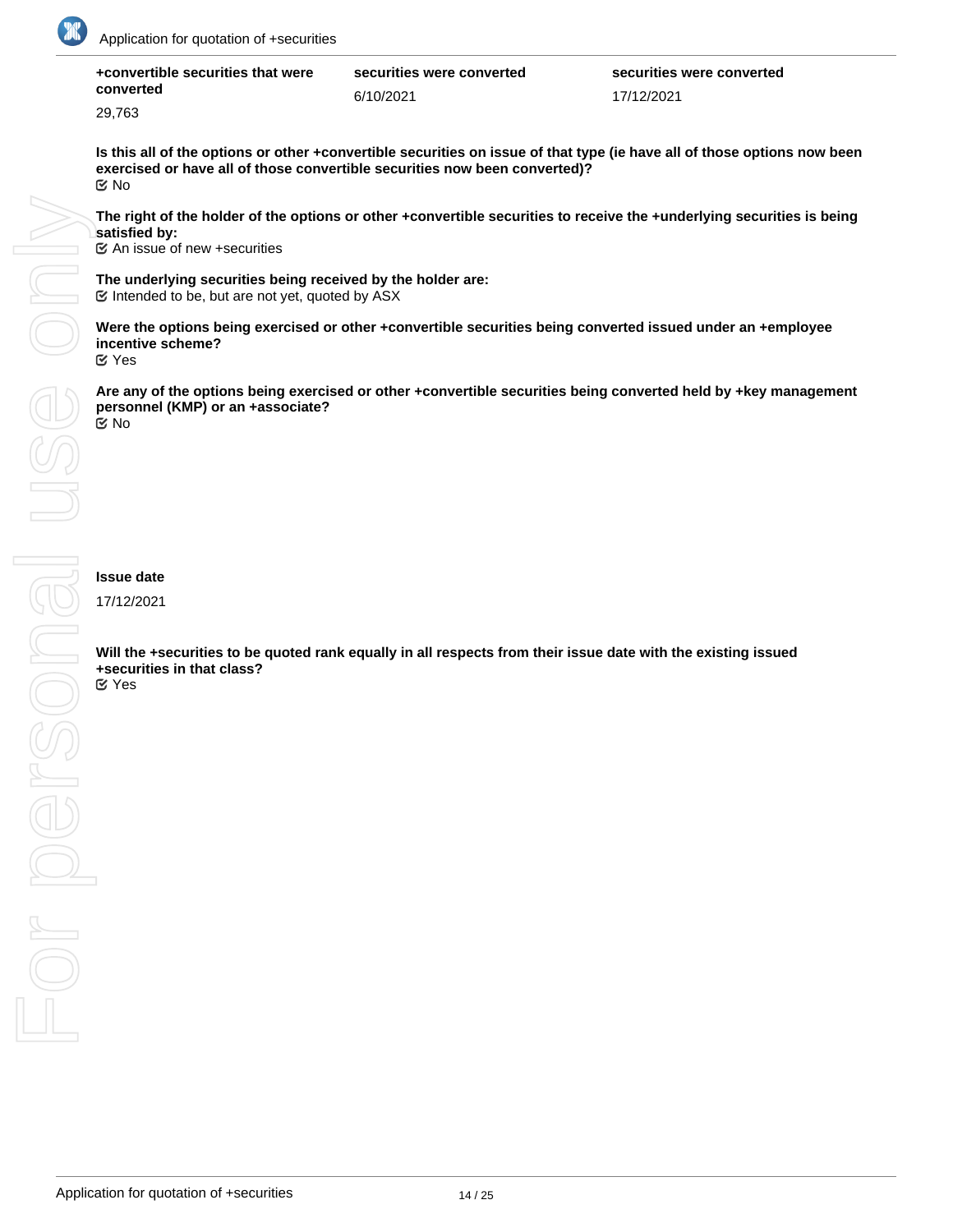

| +convertible securities that were | securities were converted | securities were converted |
|-----------------------------------|---------------------------|---------------------------|
| converted                         | 6/10/2021                 | 17/12/2021                |

29,763

**Is this all of the options or other +convertible securities on issue of that type (ie have all of those options now been exercised or have all of those convertible securities now been converted)?** No

**The right of the holder of the options or other +convertible securities to receive the +underlying securities is being satisfied by:**

An issue of new +securities

**The underlying securities being received by the holder are:**  $\mathfrak C$  Intended to be, but are not yet, quoted by ASX

**Were the options being exercised or other +convertible securities being converted issued under an +employee incentive scheme?** Yes

**Are any of the options being exercised or other +convertible securities being converted held by +key management personnel (KMP) or an +associate?** No

17/12/2021

**Will the +securities to be quoted rank equally in all respects from their issue date with the existing issued +securities in that class?** Yes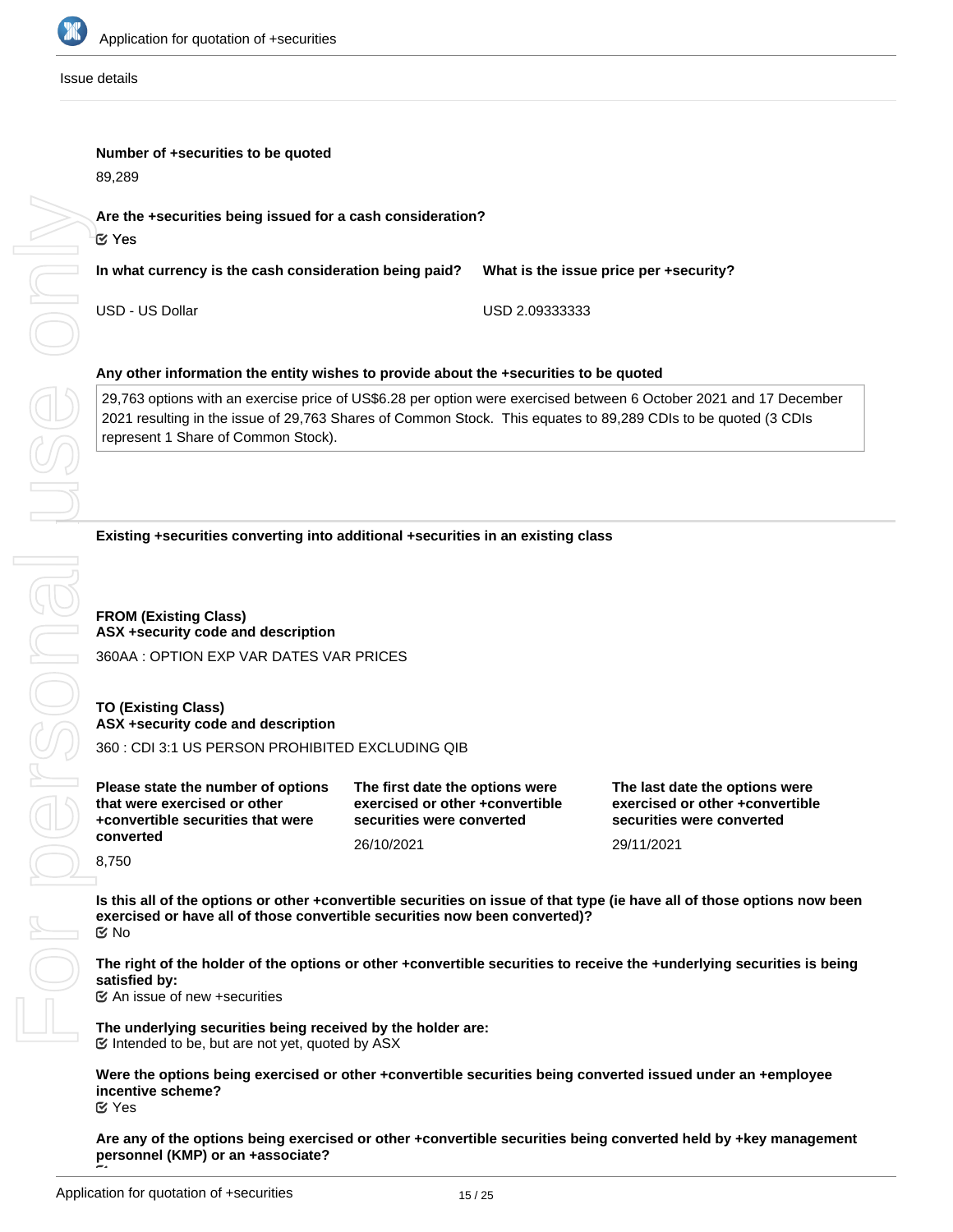

| Number of +securities to be quoted<br>89,289                                          |                                        |  |
|---------------------------------------------------------------------------------------|----------------------------------------|--|
| Are the +securities being issued for a cash consideration?<br>C⁄Yes                   |                                        |  |
| In what currency is the cash consideration being paid?                                | What is the issue price per +security? |  |
| USD - US Dollar                                                                       | USD 2.093333333                        |  |
| Any other information the entity wishes to provide about the +securities to be quoted |                                        |  |

29,763 options with an exercise price of US\$6.28 per option were exercised between 6 October 2021 and 17 December 2021 resulting in the issue of 29,763 Shares of Common Stock. This equates to 89,289 CDIs to be quoted (3 CDIs represent 1 Share of Common Stock).

# **Existing +securities converting into additional +securities in an existing class**

**FROM (Existing Class) ASX +security code and description** 360AA : OPTION EXP VAR DATES VAR PRICES

**TO (Existing Class) ASX +security code and description** 360 : CDI 3:1 US PERSON PROHIBITED EXCLUDING QIB

| The fir<br>exercis<br>securit |
|-------------------------------|
| 26/10/2                       |
|                               |

**The first date the options were exercised or other +convertible securities were converted**

26/10/2021

**The last date the options were exercised or other +convertible securities were converted**

29/11/2021

8,750

**Is this all of the options or other +convertible securities on issue of that type (ie have all of those options now been exercised or have all of those convertible securities now been converted)?** No

**The right of the holder of the options or other +convertible securities to receive the +underlying securities is being satisfied by:**

An issue of new +securities

**The underlying securities being received by the holder are:**  $\mathfrak S$  Intended to be, but are not yet, quoted by ASX

**Were the options being exercised or other +convertible securities being converted issued under an +employee incentive scheme?** Yes

**Are any of the options being exercised or other +convertible securities being converted held by +key management personnel (KMP) or an +associate?**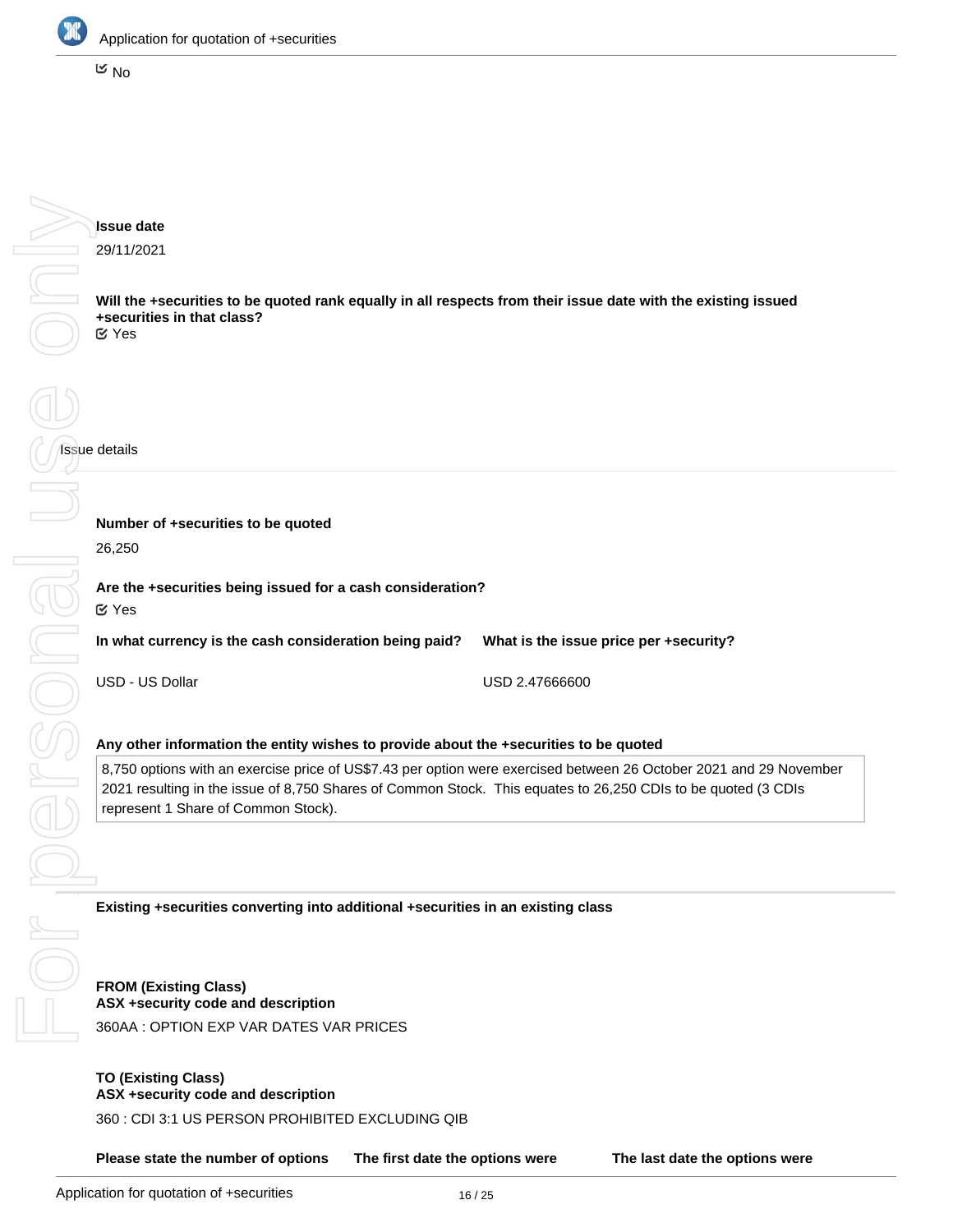

# No

# **Issue date**

29/11/2021

**Will the +securities to be quoted rank equally in all respects from their issue date with the existing issued +securities in that class?** Yes

# Issue details

# **Number of +securities to be quoted**

26,250

**Are the +securities being issued for a cash consideration?** Yes

**In what currency is the cash consideration being paid?**

**What is the issue price per +security?**

USD - US Dollar

USD 2.47666600

# **Any other information the entity wishes to provide about the +securities to be quoted**

8,750 options with an exercise price of US\$7.43 per option were exercised between 26 October 2021 and 29 November 2021 resulting in the issue of 8,750 Shares of Common Stock. This equates to 26,250 CDIs to be quoted (3 CDIs represent 1 Share of Common Stock).

# **Existing +securities converting into additional +securities in an existing class**

**FROM (Existing Class) ASX +security code and description** 360AA : OPTION EXP VAR DATES VAR PRICES

# **TO (Existing Class) ASX +security code and description**

360 : CDI 3:1 US PERSON PROHIBITED EXCLUDING QIB

**Please state the number of options The first date the options were** **The last date the options were** exercised or other +convertible +convertible +convertible +convertible<br>The transformation +convertible

**that were exercised or other**

exercised or other +convertible +convertible +convertible +convertible<br>The transformation +convertible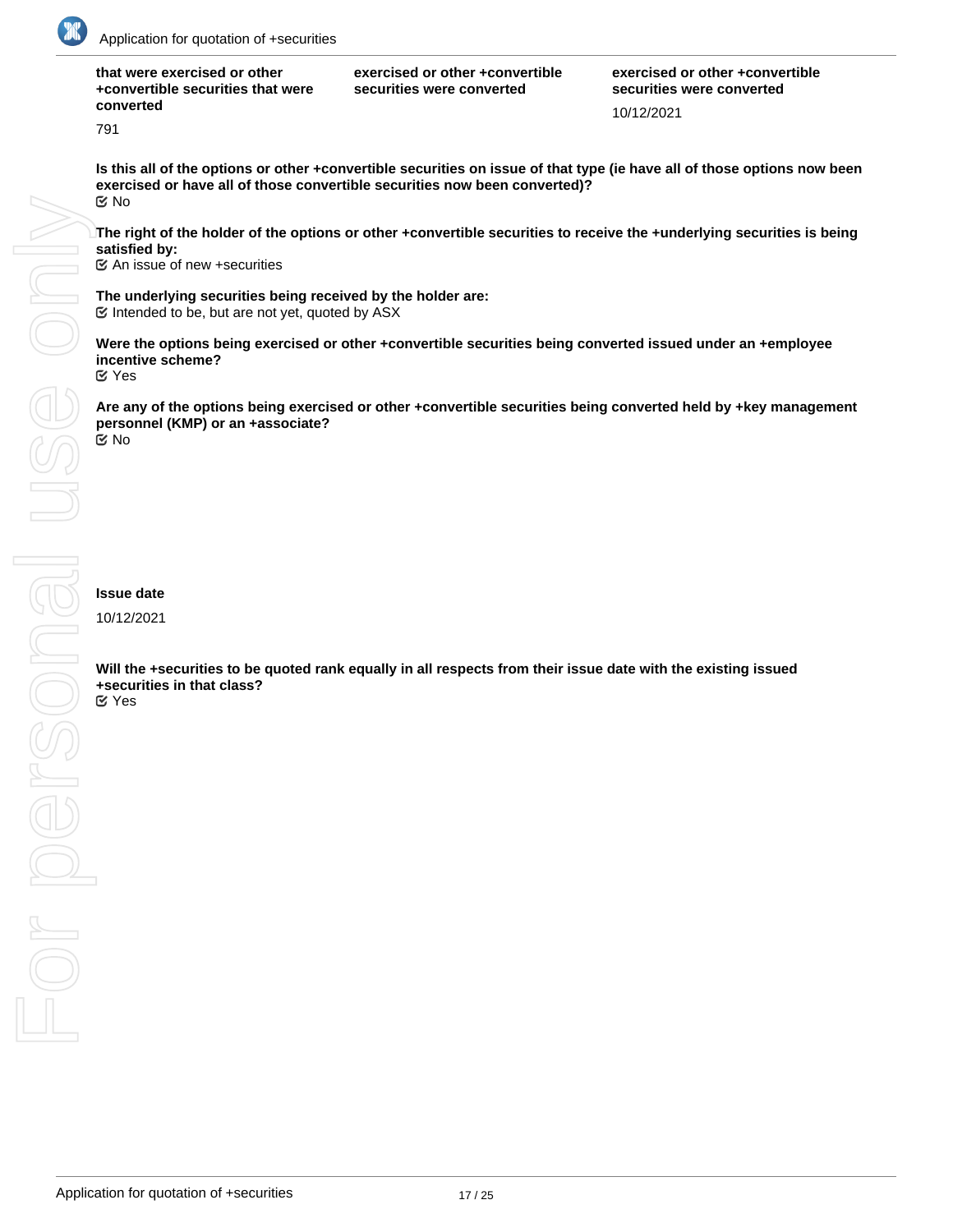

**that were exercised or other +convertible securities that were converted**

**exercised or other +convertible securities were converted**

**exercised or other +convertible securities were converted**

10/12/2021

791

**Is this all of the options or other +convertible securities on issue of that type (ie have all of those options now been exercised or have all of those convertible securities now been converted)?** No

**The right of the holder of the options or other +convertible securities to receive the +underlying securities is being satisfied by:**

An issue of new +securities

**The underlying securities being received by the holder are:**  $\mathfrak C$  Intended to be, but are not yet, quoted by ASX

**Were the options being exercised or other +convertible securities being converted issued under an +employee incentive scheme?** Yes

**Are any of the options being exercised or other +convertible securities being converted held by +key management personnel (KMP) or an +associate?** No

# **Issue date**

10/12/2021

**Will the +securities to be quoted rank equally in all respects from their issue date with the existing issued +securities in that class?**

Yes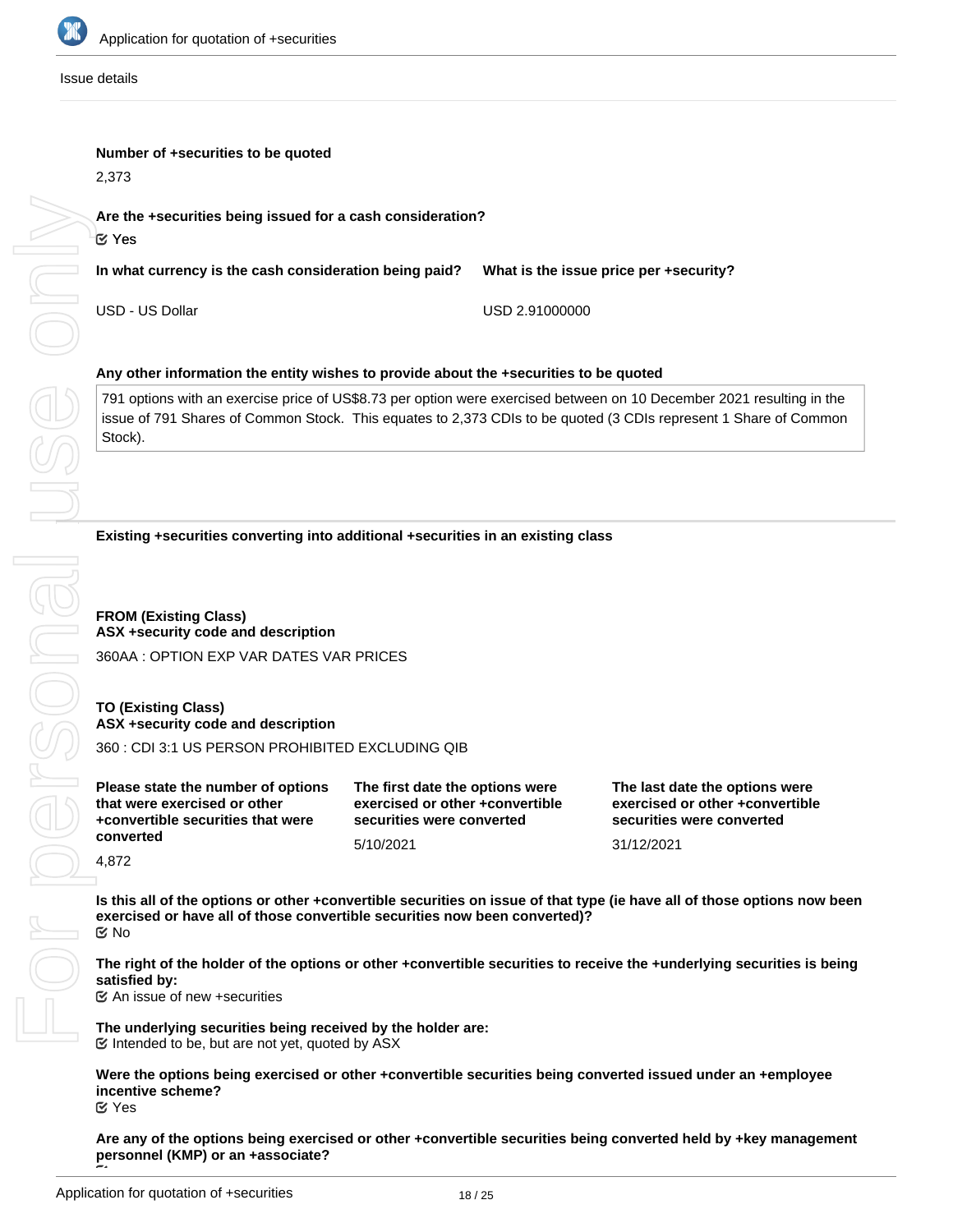

| Number of +securities to be quoted<br>2,373                                 |                                        |
|-----------------------------------------------------------------------------|----------------------------------------|
| Are the +securities being issued for a cash consideration?<br>$\propto$ Yes |                                        |
| In what currency is the cash consideration being paid?                      | What is the issue price per +security? |
| USD - US Dollar                                                             | USD 2.91000000                         |
|                                                                             |                                        |

# **Any other information the entity wishes to provide about the +securities to be quoted**

791 options with an exercise price of US\$8.73 per option were exercised between on 10 December 2021 resulting in the issue of 791 Shares of Common Stock. This equates to 2,373 CDIs to be quoted (3 CDIs represent 1 Share of Common Stock).

# **Existing +securities converting into additional +securities in an existing class**

**FROM (Existing Class) ASX +security code and description** 360AA : OPTION EXP VAR DATES VAR PRICES

**TO (Existing Class) ASX +security code and description** 360 : CDI 3:1 US PERSON PROHIBITED EXCLUDING QIB

| Please state the number of options<br>that were exercised or other<br>+convertible securities that were | The first date the options were<br>exercised or other +convertible<br>securities were converted | The last date the options were<br>exercised or other +convertible<br>securities were converted |
|---------------------------------------------------------------------------------------------------------|-------------------------------------------------------------------------------------------------|------------------------------------------------------------------------------------------------|
| converted                                                                                               | 5/10/2021                                                                                       | 31/12/2021                                                                                     |
| 4.872                                                                                                   |                                                                                                 |                                                                                                |

**Is this all of the options or other +convertible securities on issue of that type (ie have all of those options now been exercised or have all of those convertible securities now been converted)?** No

**The right of the holder of the options or other +convertible securities to receive the +underlying securities is being satisfied by:**

An issue of new +securities

**The underlying securities being received by the holder are:**  $\mathfrak S$  Intended to be, but are not yet, quoted by ASX

**Were the options being exercised or other +convertible securities being converted issued under an +employee incentive scheme?** Yes

**Are any of the options being exercised or other +convertible securities being converted held by +key management personnel (KMP) or an +associate?**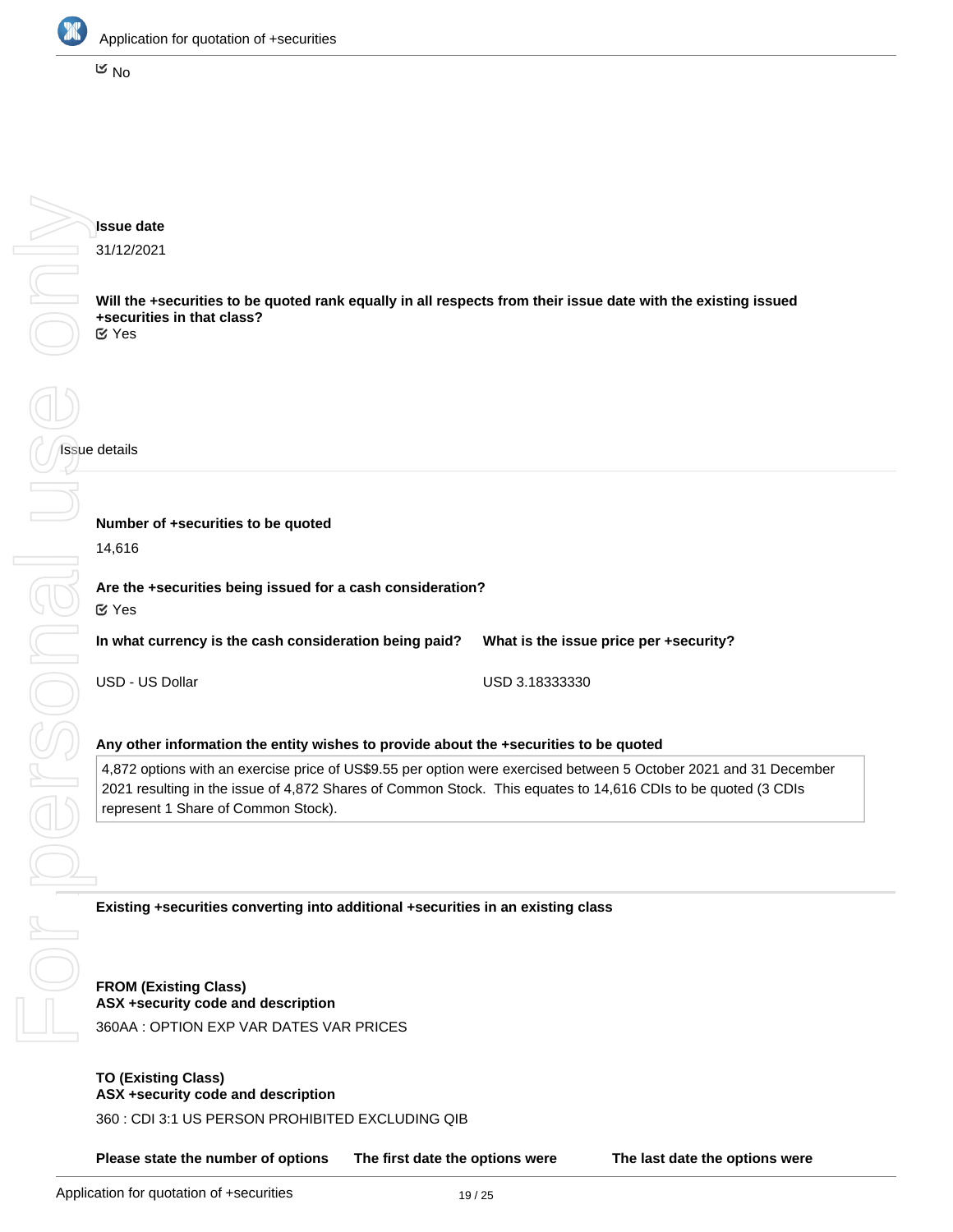

# No

# **Issue date**

31/12/2021

**Will the +securities to be quoted rank equally in all respects from their issue date with the existing issued +securities in that class?** Yes

Issue details

# **Number of +securities to be quoted**

14,616

**Are the +securities being issued for a cash consideration?** Yes

**In what currency is the cash consideration being paid?**

**What is the issue price per +security?**

USD - US Dollar

USD 3.18333330

# **Any other information the entity wishes to provide about the +securities to be quoted**

4,872 options with an exercise price of US\$9.55 per option were exercised between 5 October 2021 and 31 December 2021 resulting in the issue of 4,872 Shares of Common Stock. This equates to 14,616 CDIs to be quoted (3 CDIs represent 1 Share of Common Stock).

# **Existing +securities converting into additional +securities in an existing class**

**FROM (Existing Class) ASX +security code and description** 360AA : OPTION EXP VAR DATES VAR PRICES

# **TO (Existing Class) ASX +security code and description**

360 : CDI 3:1 US PERSON PROHIBITED EXCLUDING QIB

**Please state the number of options The first date the options were** **The last date the options were** exercised or other +convertible +convertible +convertible +convertible<br>The transformation +convertible

exercised or other +convertible +convertible +convertible +convertible<br>The transformation +convertible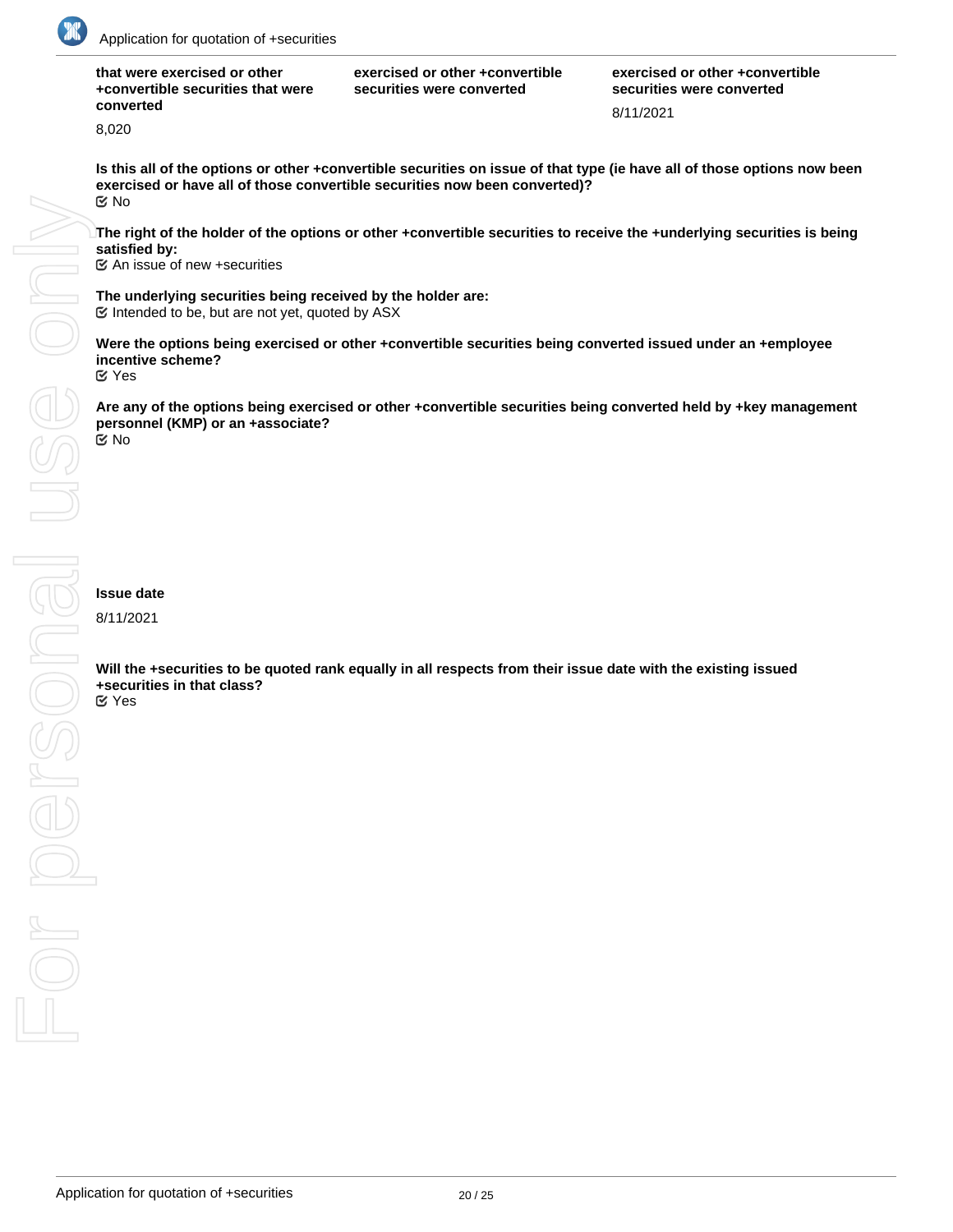

USC ON

**that were exercised or other +convertible securities that were converted**

**exercised or other +convertible securities were converted**

**exercised or other +convertible securities were converted**

8/11/2021

8,020

**Is this all of the options or other +convertible securities on issue of that type (ie have all of those options now been exercised or have all of those convertible securities now been converted)?** No

**The right of the holder of the options or other +convertible securities to receive the +underlying securities is being satisfied by:**

An issue of new +securities

**The underlying securities being received by the holder are:**  $\mathfrak C$  Intended to be, but are not yet, quoted by ASX

**Were the options being exercised or other +convertible securities being converted issued under an +employee incentive scheme?** Yes

**Are any of the options being exercised or other +convertible securities being converted held by +key management personnel (KMP) or an +associate?** No

# **Issue date**

8/11/2021

**Will the +securities to be quoted rank equally in all respects from their issue date with the existing issued +securities in that class?**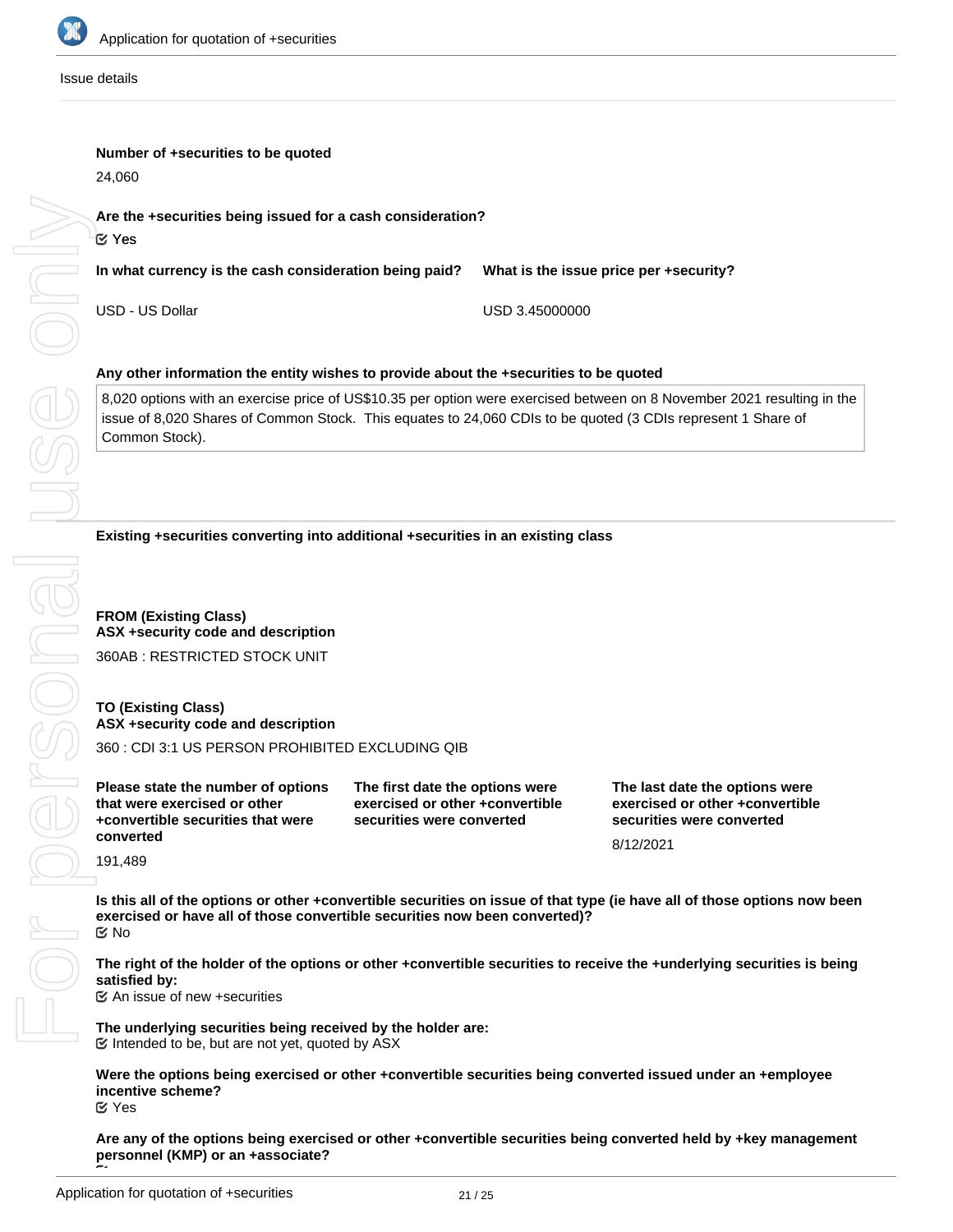

| Number of +securities to be quoted<br>24,060                                     |                                        |  |
|----------------------------------------------------------------------------------|----------------------------------------|--|
| Are the +securities being issued for a cash consideration?<br>$\mathfrak{C}$ Yes |                                        |  |
| In what currency is the cash consideration being paid?                           | What is the issue price per +security? |  |
| USD - US Dollar                                                                  | USD 3.45000000                         |  |
|                                                                                  |                                        |  |

# **Any other information the entity wishes to provide about the +securities to be quoted**

8,020 options with an exercise price of US\$10.35 per option were exercised between on 8 November 2021 resulting in the issue of 8,020 Shares of Common Stock. This equates to 24,060 CDIs to be quoted (3 CDIs represent 1 Share of Common Stock).

# **Existing +securities converting into additional +securities in an existing class**

**FROM (Existing Class) ASX +security code and description** 360AB : RESTRICTED STOCK UNIT

**TO (Existing Class) ASX +security code and description** 360 : CDI 3:1 US PERSON PROHIBITED EXCLUDING QIB

**Please state the number of options that were exercised or other +convertible securities that were converted**

**The first date the options were exercised or other +convertible securities were converted**

**The last date the options were exercised or other +convertible securities were converted**

8/12/2021

191,489

**Is this all of the options or other +convertible securities on issue of that type (ie have all of those options now been exercised or have all of those convertible securities now been converted)?** No

**The right of the holder of the options or other +convertible securities to receive the +underlying securities is being satisfied by:**

An issue of new +securities

**The underlying securities being received by the holder are:**  $\mathfrak C$  Intended to be, but are not yet, quoted by ASX

**Were the options being exercised or other +convertible securities being converted issued under an +employee incentive scheme?** Yes

**Are any of the options being exercised or other +convertible securities being converted held by +key management personnel (KMP) or an +associate?**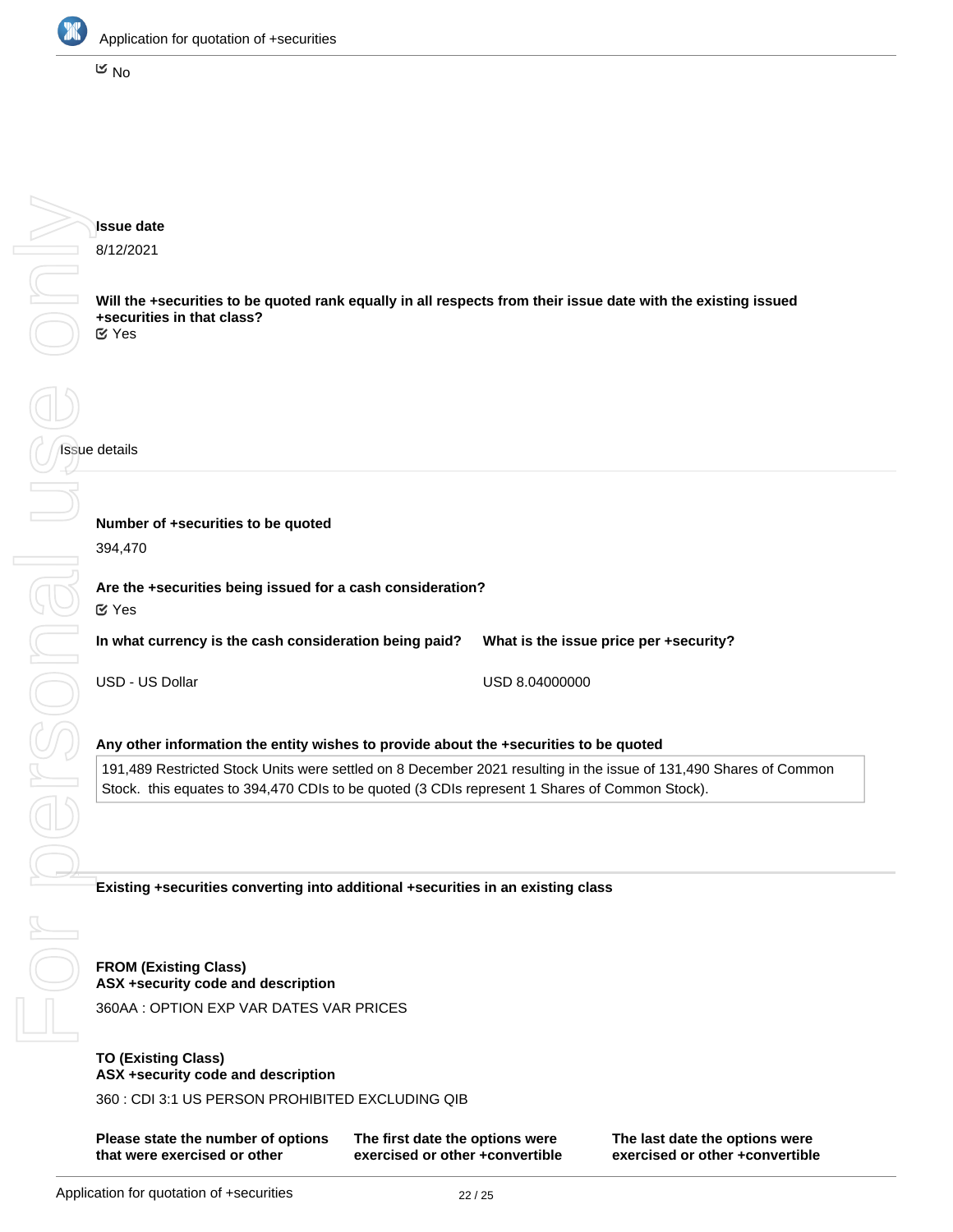

## No

# **Issue date**

8/12/2021

**Will the +securities to be quoted rank equally in all respects from their issue date with the existing issued +securities in that class?** Yes

Issue details

# **Number of +securities to be quoted**

394,470

**Are the +securities being issued for a cash consideration?** Yes

**In what currency is the cash consideration being paid?**

**What is the issue price per +security?**

USD - US Dollar

USD 8.04000000

# **Any other information the entity wishes to provide about the +securities to be quoted**

191,489 Restricted Stock Units were settled on 8 December 2021 resulting in the issue of 131,490 Shares of Common Stock. this equates to 394,470 CDIs to be quoted (3 CDIs represent 1 Shares of Common Stock).

**Existing +securities converting into additional +securities in an existing class**

**FROM (Existing Class) ASX +security code and description**

360AA : OPTION EXP VAR DATES VAR PRICES

#### **TO (Existing Class) ASX +security code and description**

360 : CDI 3:1 US PERSON PROHIBITED EXCLUDING QIB

**Please state the number of options that were exercised or other**

**+convertible securities that were**

**The first date the options were exercised or other +convertible**

**securities were converted**

**The last date the options were exercised or other +convertible**

**securities were converted**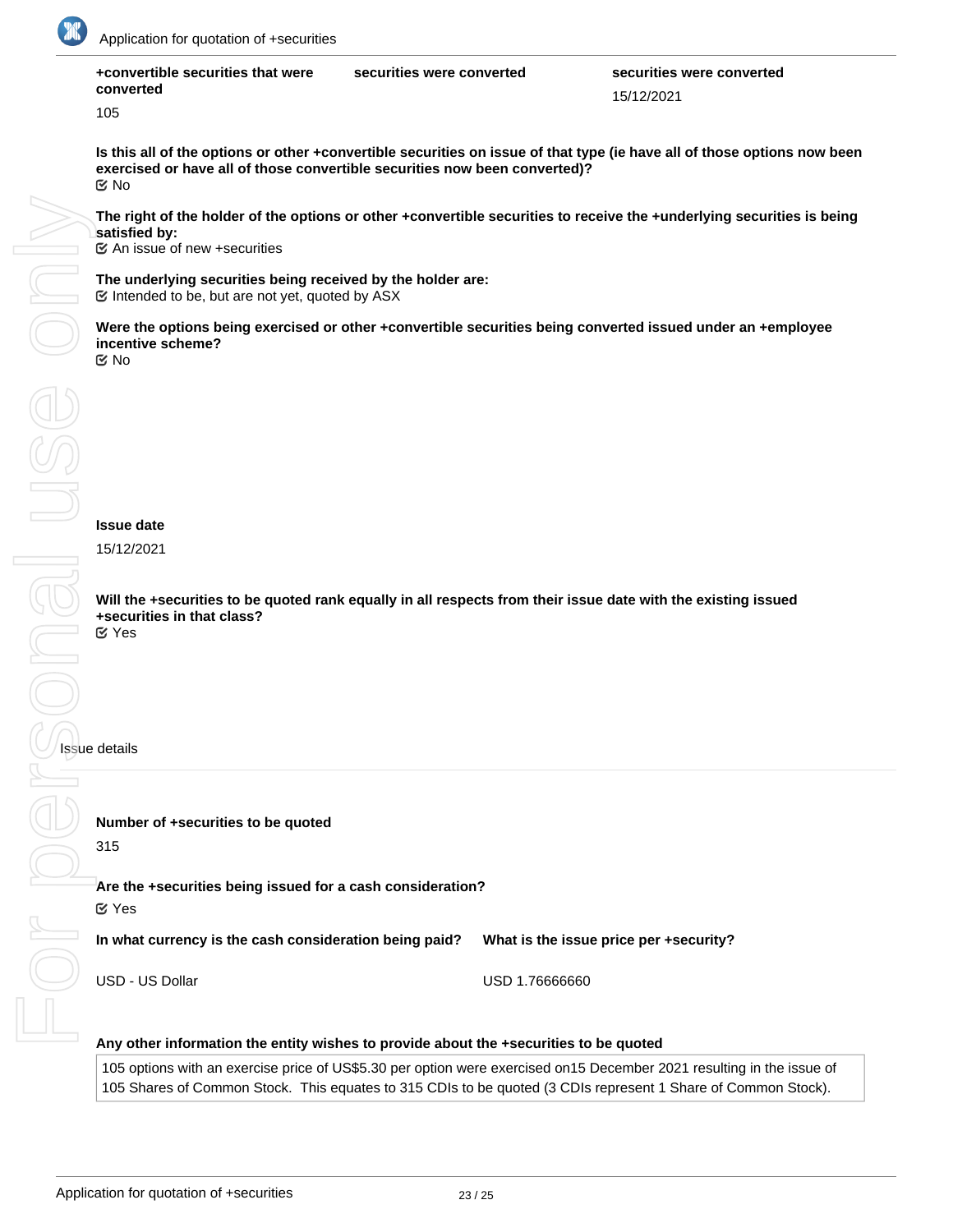

| +convertible securities that were | securities were converted |
|-----------------------------------|---------------------------|
| converted                         |                           |

105

**Is this all of the options or other +convertible securities on issue of that type (ie have all of those options now been exercised or have all of those convertible securities now been converted)?** No

**securities were converted securities were converted**

15/12/2021

**The right of the holder of the options or other +convertible securities to receive the +underlying securities is being satisfied by:**

An issue of new +securities

**The underlying securities being received by the holder are:**  $\mathfrak C$  Intended to be, but are not yet, quoted by ASX

**Were the options being exercised or other +convertible securities being converted issued under an +employee incentive scheme?**

No

# **Issue date**

15/12/2021

**Will the +securities to be quoted rank equally in all respects from their issue date with the existing issued +securities in that class?** Yes

# Issue details

**Number of +securities to be quoted** 315

**Are the +securities being issued for a cash consideration?**

Yes

**In what currency is the cash consideration being paid? What is the issue price per +security?**

USD - US Dollar

USD 1.76666660

# **Any other information the entity wishes to provide about the +securities to be quoted**

105 options with an exercise price of US\$5.30 per option were exercised on15 December 2021 resulting in the issue of 105 Shares of Common Stock. This equates to 315 CDIs to be quoted (3 CDIs represent 1 Share of Common Stock).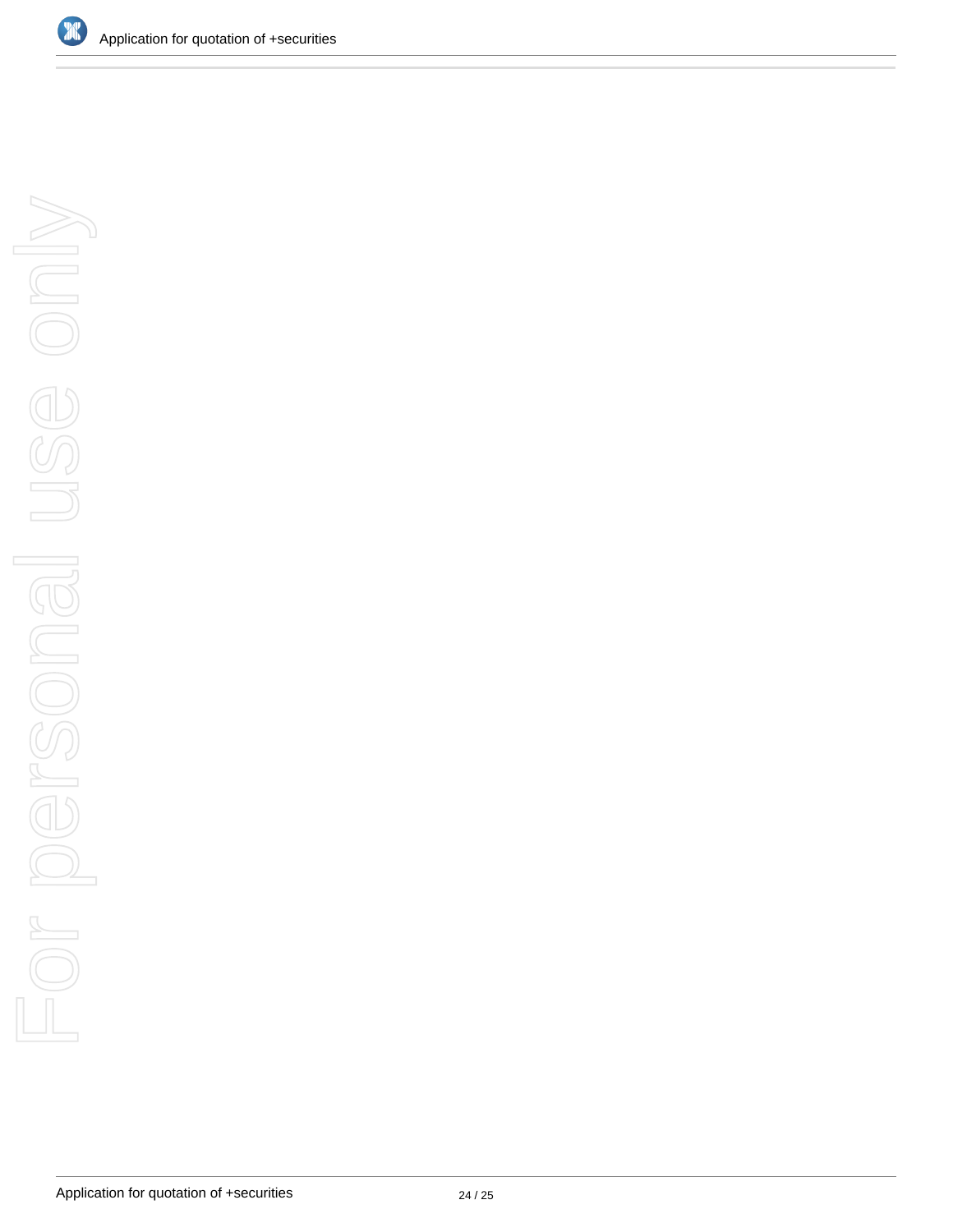